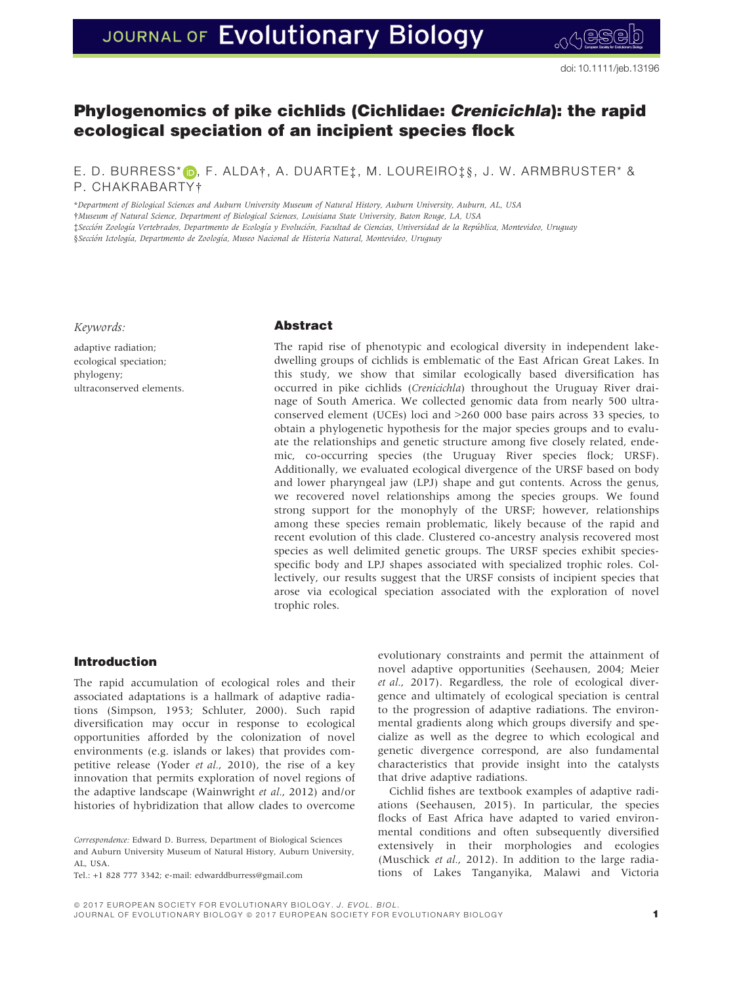# JOURNAL OF Evolutionary Biology

# Phylogenomics of pike cichlids (Cichlidae: Crenicichla): the rapid ecological speciation of an incipient species flock

E. D. BURRESS\* D, F. ALDA†, A. DUARTE‡, M. LOUREIRO‡§, J. W. ARMBRUSTER\* & P. CHAKRABARTY†

\*Department of Biological Sciences and Auburn University Museum of Natural History, Auburn University, Auburn, AL, USA †Museum of Natural Science, Department of Biological Sciences, Louisiana State University, Baton Rouge, LA, USA ‡Seccion Zoologıa Vertebrados, Departmento de Ecologıa y Evolucion, Facultad de Ciencias, Universidad de la Republica, Montevideo, Uruguay §Sección Ictología, Departmento de Zoología, Museo Nacional de Historia Natural, Montevideo, Uruguay

Keywords:

adaptive radiation; ecological speciation; phylogeny; ultraconserved elements.

#### Abstract

The rapid rise of phenotypic and ecological diversity in independent lakedwelling groups of cichlids is emblematic of the East African Great Lakes. In this study, we show that similar ecologically based diversification has occurred in pike cichlids (Crenicichla) throughout the Uruguay River drainage of South America. We collected genomic data from nearly 500 ultraconserved element (UCEs) loci and >260 000 base pairs across 33 species, to obtain a phylogenetic hypothesis for the major species groups and to evaluate the relationships and genetic structure among five closely related, endemic, co-occurring species (the Uruguay River species flock; URSF). Additionally, we evaluated ecological divergence of the URSF based on body and lower pharyngeal jaw (LPJ) shape and gut contents. Across the genus, we recovered novel relationships among the species groups. We found strong support for the monophyly of the URSF; however, relationships among these species remain problematic, likely because of the rapid and recent evolution of this clade. Clustered co-ancestry analysis recovered most species as well delimited genetic groups. The URSF species exhibit speciesspecific body and LPJ shapes associated with specialized trophic roles. Collectively, our results suggest that the URSF consists of incipient species that arose via ecological speciation associated with the exploration of novel trophic roles.

#### Introduction

The rapid accumulation of ecological roles and their associated adaptations is a hallmark of adaptive radiations (Simpson, 1953; Schluter, 2000). Such rapid diversification may occur in response to ecological opportunities afforded by the colonization of novel environments (e.g. islands or lakes) that provides competitive release (Yoder et al., 2010), the rise of a key innovation that permits exploration of novel regions of the adaptive landscape (Wainwright et al., 2012) and/or histories of hybridization that allow clades to overcome

Correspondence: Edward D. Burress, Department of Biological Sciences and Auburn University Museum of Natural History, Auburn University, AL, USA.

Tel.: +1 828 777 3342; e-mail: edwarddburress@gmail.com

evolutionary constraints and permit the attainment of novel adaptive opportunities (Seehausen, 2004; Meier et al., 2017). Regardless, the role of ecological divergence and ultimately of ecological speciation is central to the progression of adaptive radiations. The environmental gradients along which groups diversify and specialize as well as the degree to which ecological and genetic divergence correspond, are also fundamental characteristics that provide insight into the catalysts that drive adaptive radiations.

Cichlid fishes are textbook examples of adaptive radiations (Seehausen, 2015). In particular, the species flocks of East Africa have adapted to varied environmental conditions and often subsequently diversified extensively in their morphologies and ecologies (Muschick et al., 2012). In addition to the large radiations of Lakes Tanganyika, Malawi and Victoria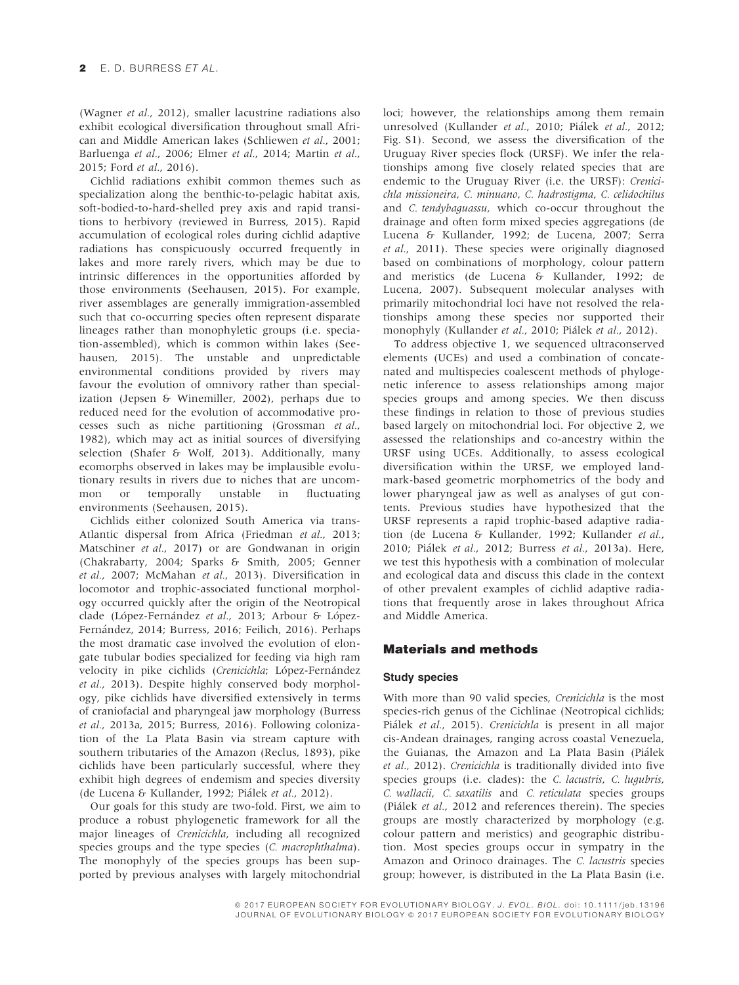(Wagner et al., 2012), smaller lacustrine radiations also exhibit ecological diversification throughout small African and Middle American lakes (Schliewen et al., 2001; Barluenga et al., 2006; Elmer et al., 2014; Martin et al., 2015; Ford et al., 2016).

Cichlid radiations exhibit common themes such as specialization along the benthic-to-pelagic habitat axis, soft-bodied-to-hard-shelled prey axis and rapid transitions to herbivory (reviewed in Burress, 2015). Rapid accumulation of ecological roles during cichlid adaptive radiations has conspicuously occurred frequently in lakes and more rarely rivers, which may be due to intrinsic differences in the opportunities afforded by those environments (Seehausen, 2015). For example, river assemblages are generally immigration-assembled such that co-occurring species often represent disparate lineages rather than monophyletic groups (i.e. speciation-assembled), which is common within lakes (Seehausen, 2015). The unstable and unpredictable environmental conditions provided by rivers may favour the evolution of omnivory rather than specialization (Jepsen & Winemiller, 2002), perhaps due to reduced need for the evolution of accommodative processes such as niche partitioning (Grossman et al., 1982), which may act as initial sources of diversifying selection (Shafer & Wolf, 2013). Additionally, many ecomorphs observed in lakes may be implausible evolutionary results in rivers due to niches that are uncommon or temporally unstable in fluctuating environments (Seehausen, 2015).

Cichlids either colonized South America via trans-Atlantic dispersal from Africa (Friedman et al., 2013; Matschiner et al., 2017) or are Gondwanan in origin (Chakrabarty, 2004; Sparks & Smith, 2005; Genner et al., 2007; McMahan et al., 2013). Diversification in locomotor and trophic-associated functional morphology occurred quickly after the origin of the Neotropical clade (López-Fernández et al., 2013; Arbour & López-Fernández, 2014; Burress, 2016; Feilich, 2016). Perhaps the most dramatic case involved the evolution of elongate tubular bodies specialized for feeding via high ram velocity in pike cichlids (Crenicichla; López-Fernández et al., 2013). Despite highly conserved body morphology, pike cichlids have diversified extensively in terms of craniofacial and pharyngeal jaw morphology (Burress et al., 2013a, 2015; Burress, 2016). Following colonization of the La Plata Basin via stream capture with southern tributaries of the Amazon (Reclus, 1893), pike cichlids have been particularly successful, where they exhibit high degrees of endemism and species diversity (de Lucena & Kullander, 1992; Pialek et al., 2012).

Our goals for this study are two-fold. First, we aim to produce a robust phylogenetic framework for all the major lineages of Crenicichla, including all recognized species groups and the type species (C. macrophthalma). The monophyly of the species groups has been supported by previous analyses with largely mitochondrial

loci; however, the relationships among them remain unresolved (Kullander et al., 2010; Piálek et al., 2012; Fig. S1). Second, we assess the diversification of the Uruguay River species flock (URSF). We infer the relationships among five closely related species that are endemic to the Uruguay River (i.e. the URSF): Crenicichla missioneira, C. minuano, C. hadrostigma, C. celidochilus and C. tendybaguassu, which co-occur throughout the drainage and often form mixed species aggregations (de Lucena & Kullander, 1992; de Lucena, 2007; Serra et al., 2011). These species were originally diagnosed based on combinations of morphology, colour pattern and meristics (de Lucena & Kullander, 1992; de Lucena, 2007). Subsequent molecular analyses with primarily mitochondrial loci have not resolved the relationships among these species nor supported their monophyly (Kullander et al., 2010; Pialek et al., 2012).

To address objective 1, we sequenced ultraconserved elements (UCEs) and used a combination of concatenated and multispecies coalescent methods of phylogenetic inference to assess relationships among major species groups and among species. We then discuss these findings in relation to those of previous studies based largely on mitochondrial loci. For objective 2, we assessed the relationships and co-ancestry within the URSF using UCEs. Additionally, to assess ecological diversification within the URSF, we employed landmark-based geometric morphometrics of the body and lower pharyngeal jaw as well as analyses of gut contents. Previous studies have hypothesized that the URSF represents a rapid trophic-based adaptive radiation (de Lucena & Kullander, 1992; Kullander et al., 2010; Piálek et al., 2012; Burress et al., 2013a). Here, we test this hypothesis with a combination of molecular and ecological data and discuss this clade in the context of other prevalent examples of cichlid adaptive radiations that frequently arose in lakes throughout Africa and Middle America.

### Materials and methods

#### Study species

With more than 90 valid species, Crenicichla is the most species-rich genus of the Cichlinae (Neotropical cichlids; Pialek et al., 2015). Crenicichla is present in all major cis-Andean drainages, ranging across coastal Venezuela, the Guianas, the Amazon and La Plata Basin (Pialek et al., 2012). Crenicichla is traditionally divided into five species groups (i.e. clades): the C. lacustris, C. lugubris, C. wallacii, C. saxatilis and C. reticulata species groups (Pialek et al., 2012 and references therein). The species groups are mostly characterized by morphology (e.g. colour pattern and meristics) and geographic distribution. Most species groups occur in sympatry in the Amazon and Orinoco drainages. The C. lacustris species group; however, is distributed in the La Plata Basin (i.e.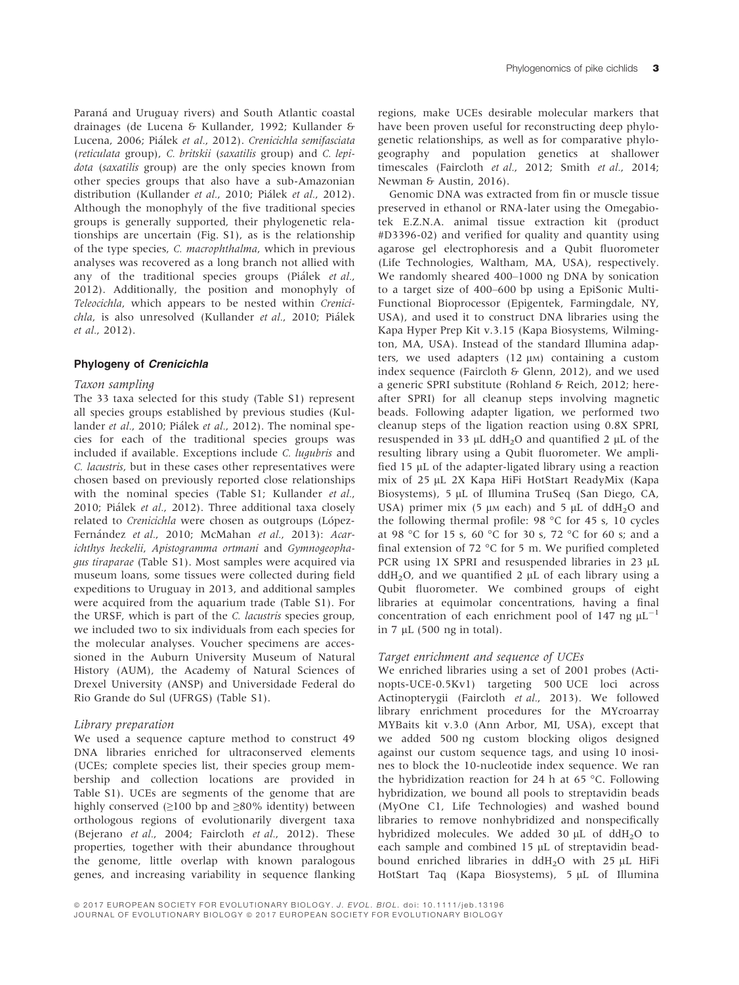Paraná and Uruguay rivers) and South Atlantic coastal drainages (de Lucena & Kullander, 1992; Kullander & Lucena, 2006; Pialek et al., 2012). Crenicichla semifasciata (reticulata group), C. britskii (saxatilis group) and C. lepidota (saxatilis group) are the only species known from other species groups that also have a sub-Amazonian distribution (Kullander et al., 2010; Piálek et al., 2012). Although the monophyly of the five traditional species groups is generally supported, their phylogenetic relationships are uncertain (Fig. S1), as is the relationship of the type species, C. macrophthalma, which in previous analyses was recovered as a long branch not allied with any of the traditional species groups (Piálek et al., 2012). Additionally, the position and monophyly of Teleocichla, which appears to be nested within Crenicichla, is also unresolved (Kullander et al., 2010; Piálek et al., 2012).

#### Phylogeny of Crenicichla

#### Taxon sampling

The 33 taxa selected for this study (Table S1) represent all species groups established by previous studies (Kullander et al., 2010; Piálek et al., 2012). The nominal species for each of the traditional species groups was included if available. Exceptions include C. lugubris and C. lacustris, but in these cases other representatives were chosen based on previously reported close relationships with the nominal species (Table S1; Kullander et al., 2010; Pialek et al., 2012). Three additional taxa closely related to Crenicichla were chosen as outgroups (López-Fernández et al., 2010; McMahan et al., 2013): Acarichthys heckelii, Apistogramma ortmani and Gymnogeophagus tiraparae (Table S1). Most samples were acquired via museum loans, some tissues were collected during field expeditions to Uruguay in 2013, and additional samples were acquired from the aquarium trade (Table S1). For the URSF, which is part of the C. lacustris species group, we included two to six individuals from each species for the molecular analyses. Voucher specimens are accessioned in the Auburn University Museum of Natural History (AUM), the Academy of Natural Sciences of Drexel University (ANSP) and Universidade Federal do Rio Grande do Sul (UFRGS) (Table S1).

#### Library preparation

We used a sequence capture method to construct 49 DNA libraries enriched for ultraconserved elements (UCEs; complete species list, their species group membership and collection locations are provided in Table S1). UCEs are segments of the genome that are highly conserved  $(≥100$  bp and  $≥80%$  identity) between orthologous regions of evolutionarily divergent taxa (Bejerano et al., 2004; Faircloth et al., 2012). These properties, together with their abundance throughout the genome, little overlap with known paralogous genes, and increasing variability in sequence flanking

regions, make UCEs desirable molecular markers that have been proven useful for reconstructing deep phylogenetic relationships, as well as for comparative phylogeography and population genetics at shallower timescales (Faircloth et al., 2012; Smith et al., 2014; Newman & Austin, 2016).

Genomic DNA was extracted from fin or muscle tissue preserved in ethanol or RNA-later using the Omegabiotek E.Z.N.A. animal tissue extraction kit (product #D3396-02) and verified for quality and quantity using agarose gel electrophoresis and a Qubit fluorometer (Life Technologies, Waltham, MA, USA), respectively. We randomly sheared 400–1000 ng DNA by sonication to a target size of 400–600 bp using a EpiSonic Multi-Functional Bioprocessor (Epigentek, Farmingdale, NY, USA), and used it to construct DNA libraries using the Kapa Hyper Prep Kit v.3.15 (Kapa Biosystems, Wilmington, MA, USA). Instead of the standard Illumina adapters, we used adapters  $(12 \mu)$  containing a custom index sequence (Faircloth & Glenn, 2012), and we used a generic SPRI substitute (Rohland & Reich, 2012; hereafter SPRI) for all cleanup steps involving magnetic beads. Following adapter ligation, we performed two cleanup steps of the ligation reaction using 0.8X SPRI, resuspended in 33  $\mu$ L ddH<sub>2</sub>O and quantified 2  $\mu$ L of the resulting library using a Qubit fluorometer. We amplified 15  $\mu$ L of the adapter-ligated library using a reaction mix of 25 µL 2X Kapa HiFi HotStart ReadyMix (Kapa Biosystems), 5 µL of Illumina TruSeq (San Diego, CA, USA) primer mix (5  $\mu$ M each) and 5  $\mu$ L of ddH<sub>2</sub>O and the following thermal profile: 98 °C for 45 s, 10 cycles at 98 °C for 15 s, 60 °C for 30 s, 72 °C for 60 s; and a final extension of 72 °C for 5 m. We purified completed PCR using  $1X$  SPRI and resuspended libraries in 23  $\mu$ L  $ddH<sub>2</sub>O$ , and we quantified 2  $\mu$ L of each library using a Qubit fluorometer. We combined groups of eight libraries at equimolar concentrations, having a final concentration of each enrichment pool of 147 ng  $\mu L^{-1}$ in 7  $\mu$ L (500 ng in total).

#### Target enrichment and sequence of UCEs

We enriched libraries using a set of 2001 probes (Actinopts-UCE-0.5Kv1) targeting 500 UCE loci across Actinopterygii (Faircloth et al., 2013). We followed library enrichment procedures for the MYcroarray MYBaits kit v.3.0 (Ann Arbor, MI, USA), except that we added 500 ng custom blocking oligos designed against our custom sequence tags, and using 10 inosines to block the 10-nucleotide index sequence. We ran the hybridization reaction for 24 h at 65 °C. Following hybridization, we bound all pools to streptavidin beads (MyOne C1, Life Technologies) and washed bound libraries to remove nonhybridized and nonspecifically hybridized molecules. We added  $30 \mu L$  of ddH<sub>2</sub>O to each sample and combined  $15 \mu L$  of streptavidin beadbound enriched libraries in  $ddH<sub>2</sub>O$  with 25  $\mu$ L HiFi HotStart Taq (Kapa Biosystems), 5 µL of Illumina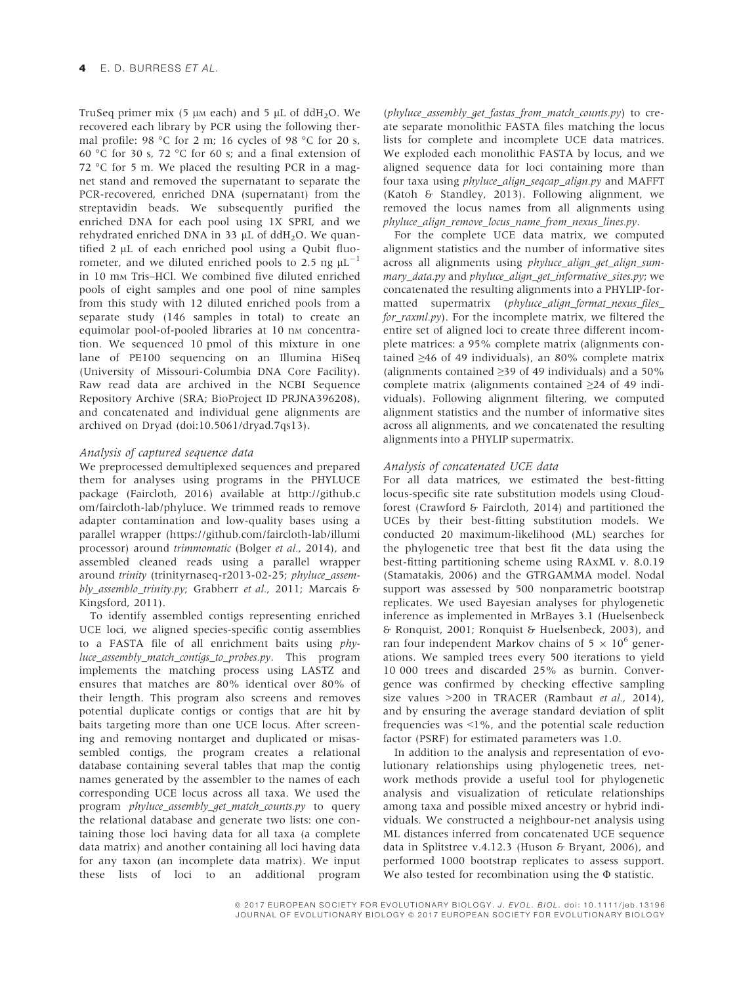TruSeq primer mix (5  $\mu$ M each) and 5  $\mu$ L of ddH<sub>2</sub>O. We recovered each library by PCR using the following thermal profile: 98 °C for 2 m; 16 cycles of 98 °C for 20 s, 60 °C for 30 s, 72 °C for 60 s; and a final extension of 72 °C for 5 m. We placed the resulting PCR in a magnet stand and removed the supernatant to separate the PCR-recovered, enriched DNA (supernatant) from the streptavidin beads. We subsequently purified the enriched DNA for each pool using 1X SPRI, and we rehydrated enriched DNA in 33 µL of ddH<sub>2</sub>O. We quantified  $2 \mu L$  of each enriched pool using a Qubit fluorometer, and we diluted enriched pools to 2.5 ng  $\mu L^{-1}$ in 10 mM Tris–HCl. We combined five diluted enriched pools of eight samples and one pool of nine samples from this study with 12 diluted enriched pools from a separate study (146 samples in total) to create an equimolar pool-of-pooled libraries at 10 nm concentration. We sequenced 10 pmol of this mixture in one lane of PE100 sequencing on an Illumina HiSeq (University of Missouri-Columbia DNA Core Facility). Raw read data are archived in the NCBI Sequence Repository Archive (SRA; BioProject ID PRJNA396208), and concatenated and individual gene alignments are archived on Dryad (doi:10.5061/dryad.7qs13).

#### Analysis of captured sequence data

We preprocessed demultiplexed sequences and prepared them for analyses using programs in the PHYLUCE package (Faircloth, 2016) available at [http://github.c](https://doi.org/http://github.com/faircloth-lab/phyluce) [om/faircloth-lab/phyluce.](https://doi.org/http://github.com/faircloth-lab/phyluce) We trimmed reads to remove adapter contamination and low-quality bases using a parallel wrapper ([https://github.com/faircloth-lab/illumi](https://doi.org/https://github.com/faircloth-lab/illumiprocessor) [processor\)](https://doi.org/https://github.com/faircloth-lab/illumiprocessor) around trimmomatic (Bolger et al., 2014), and assembled cleaned reads using a parallel wrapper around trinity (trinityrnaseq-r2013-02-25; phyluce\_assembly\_assemblo\_trinity.py; Grabherr et al., 2011; Marcais & Kingsford, 2011).

To identify assembled contigs representing enriched UCE loci, we aligned species-specific contig assemblies to a FASTA file of all enrichment baits using phyluce\_assembly\_match\_contigs\_to\_probes.py. This program implements the matching process using LASTZ and ensures that matches are 80% identical over 80% of their length. This program also screens and removes potential duplicate contigs or contigs that are hit by baits targeting more than one UCE locus. After screening and removing nontarget and duplicated or misassembled contigs, the program creates a relational database containing several tables that map the contig names generated by the assembler to the names of each corresponding UCE locus across all taxa. We used the program phyluce\_assembly\_get\_match\_counts.py to query the relational database and generate two lists: one containing those loci having data for all taxa (a complete data matrix) and another containing all loci having data for any taxon (an incomplete data matrix). We input these lists of loci to an additional program

(phyluce\_assembly\_get\_fastas\_from\_match\_counts.py) to create separate monolithic FASTA files matching the locus lists for complete and incomplete UCE data matrices. We exploded each monolithic FASTA by locus, and we aligned sequence data for loci containing more than four taxa using *phyluce\_align\_seqcap\_align.py* and MAFFT (Katoh & Standley, 2013). Following alignment, we removed the locus names from all alignments using phyluce\_align\_remove\_locus\_name\_from\_nexus\_lines.py.

For the complete UCE data matrix, we computed alignment statistics and the number of informative sites across all alignments using *phyluce align get align sum*mary\_data.py and phyluce\_align\_get\_informative\_sites.py; we concatenated the resulting alignments into a PHYLIP-formatted supermatrix (phyluce\_align\_format\_nexus\_files\_ for\_raxml.py). For the incomplete matrix, we filtered the entire set of aligned loci to create three different incomplete matrices: a 95% complete matrix (alignments contained ≥46 of 49 individuals), an 80% complete matrix (alignments contained  $\geq$ 39 of 49 individuals) and a 50% complete matrix (alignments contained ≥24 of 49 individuals). Following alignment filtering, we computed alignment statistics and the number of informative sites across all alignments, and we concatenated the resulting alignments into a PHYLIP supermatrix.

#### Analysis of concatenated UCE data

For all data matrices, we estimated the best-fitting locus-specific site rate substitution models using Cloudforest (Crawford & Faircloth, 2014) and partitioned the UCEs by their best-fitting substitution models. We conducted 20 maximum-likelihood (ML) searches for the phylogenetic tree that best fit the data using the best-fitting partitioning scheme using RAxML v. 8.0.19 (Stamatakis, 2006) and the GTRGAMMA model. Nodal support was assessed by 500 nonparametric bootstrap replicates. We used Bayesian analyses for phylogenetic inference as implemented in MrBayes 3.1 (Huelsenbeck & Ronquist, 2001; Ronquist & Huelsenbeck, 2003), and ran four independent Markov chains of  $5 \times 10^6$  generations. We sampled trees every 500 iterations to yield 10 000 trees and discarded 25% as burnin. Convergence was confirmed by checking effective sampling size values >200 in TRACER (Rambaut et al., 2014), and by ensuring the average standard deviation of split frequencies was  $\leq$ 1%, and the potential scale reduction factor (PSRF) for estimated parameters was 1.0.

In addition to the analysis and representation of evolutionary relationships using phylogenetic trees, network methods provide a useful tool for phylogenetic analysis and visualization of reticulate relationships among taxa and possible mixed ancestry or hybrid individuals. We constructed a neighbour-net analysis using ML distances inferred from concatenated UCE sequence data in Splitstree v.4.12.3 (Huson & Bryant, 2006), and performed 1000 bootstrap replicates to assess support. We also tested for recombination using the Φ statistic.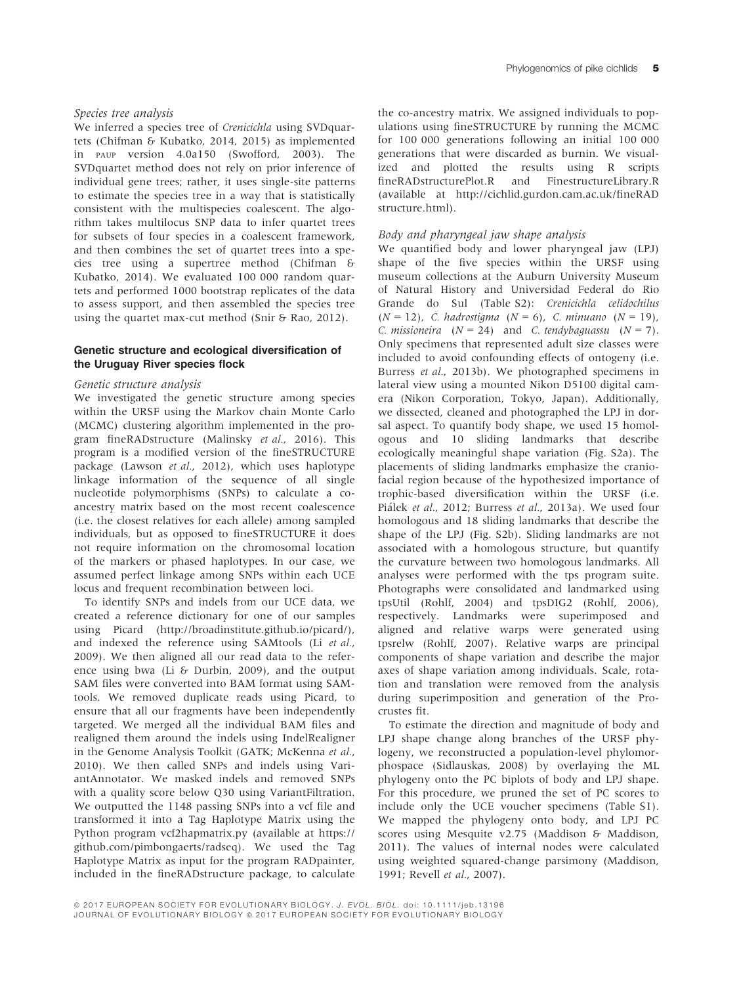#### Species tree analysis

We inferred a species tree of *Crenicichla* using SVDquartets (Chifman & Kubatko, 2014, 2015) as implemented in PAUP version 4.0a150 (Swofford, 2003). The SVDquartet method does not rely on prior inference of individual gene trees; rather, it uses single-site patterns to estimate the species tree in a way that is statistically consistent with the multispecies coalescent. The algorithm takes multilocus SNP data to infer quartet trees for subsets of four species in a coalescent framework, and then combines the set of quartet trees into a species tree using a supertree method (Chifman & Kubatko, 2014). We evaluated 100 000 random quartets and performed 1000 bootstrap replicates of the data to assess support, and then assembled the species tree using the quartet max-cut method (Snir & Rao, 2012).

#### Genetic structure and ecological diversification of the Uruguay River species flock

#### Genetic structure analysis

We investigated the genetic structure among species within the URSF using the Markov chain Monte Carlo (MCMC) clustering algorithm implemented in the program fineRADstructure (Malinsky et al., 2016). This program is a modified version of the fineSTRUCTURE package (Lawson et al., 2012), which uses haplotype linkage information of the sequence of all single nucleotide polymorphisms (SNPs) to calculate a coancestry matrix based on the most recent coalescence (i.e. the closest relatives for each allele) among sampled individuals, but as opposed to fineSTRUCTURE it does not require information on the chromosomal location of the markers or phased haplotypes. In our case, we assumed perfect linkage among SNPs within each UCE locus and frequent recombination between loci.

To identify SNPs and indels from our UCE data, we created a reference dictionary for one of our samples using Picard [\(http://broadinstitute.github.io/picard/](https://doi.org/http://broadinstitute.github.io/picard/)), and indexed the reference using SAMtools (Li et al., 2009). We then aligned all our read data to the reference using bwa (Li & Durbin, 2009), and the output SAM files were converted into BAM format using SAMtools. We removed duplicate reads using Picard, to ensure that all our fragments have been independently targeted. We merged all the individual BAM files and realigned them around the indels using IndelRealigner in the Genome Analysis Toolkit (GATK; McKenna et al., 2010). We then called SNPs and indels using VariantAnnotator. We masked indels and removed SNPs with a quality score below Q30 using VariantFiltration. We outputted the 1148 passing SNPs into a vcf file and transformed it into a Tag Haplotype Matrix using the Python program vcf2hapmatrix.py (available at [https://](https://doi.org/https://github.com/pimbongaerts/radseq) [github.com/pimbongaerts/radseq\)](https://doi.org/https://github.com/pimbongaerts/radseq). We used the Tag Haplotype Matrix as input for the program RADpainter, included in the fineRADstructure package, to calculate

the co-ancestry matrix. We assigned individuals to populations using fineSTRUCTURE by running the MCMC for 100 000 generations following an initial 100 000 generations that were discarded as burnin. We visualized and plotted the results using R scripts<br>fineRADstructurePlot.R and FinestructureLibrary.R FinestructureLibrary.R (available at [http://cichlid.gurdon.cam.ac.uk/fineRAD](https://doi.org/http://cichlid.gurdon.cam.ac.uk/fineRADstructure.html) [structure.html](https://doi.org/http://cichlid.gurdon.cam.ac.uk/fineRADstructure.html)).

#### Body and pharyngeal jaw shape analysis

We quantified body and lower pharyngeal jaw (LPJ) shape of the five species within the URSF using museum collections at the Auburn University Museum of Natural History and Universidad Federal do Rio Grande do Sul (Table S2): Crenicichla celidochilus  $(N = 12)$ , C. hadrostigma  $(N = 6)$ , C. minuano  $(N = 19)$ , C. missioneira  $(N = 24)$  and C. tendybaguassu  $(N = 7)$ . Only specimens that represented adult size classes were included to avoid confounding effects of ontogeny (i.e. Burress et al., 2013b). We photographed specimens in lateral view using a mounted Nikon D5100 digital camera (Nikon Corporation, Tokyo, Japan). Additionally, we dissected, cleaned and photographed the LPJ in dorsal aspect. To quantify body shape, we used 15 homologous and 10 sliding landmarks that describe ecologically meaningful shape variation (Fig. S2a). The placements of sliding landmarks emphasize the craniofacial region because of the hypothesized importance of trophic-based diversification within the URSF (i.e. Pialek et al., 2012; Burress et al., 2013a). We used four homologous and 18 sliding landmarks that describe the shape of the LPJ (Fig. S2b). Sliding landmarks are not associated with a homologous structure, but quantify the curvature between two homologous landmarks. All analyses were performed with the tps program suite. Photographs were consolidated and landmarked using tpsUtil (Rohlf, 2004) and tpsDIG2 (Rohlf, 2006), respectively. Landmarks were superimposed and aligned and relative warps were generated using tpsrelw (Rohlf, 2007). Relative warps are principal components of shape variation and describe the major axes of shape variation among individuals. Scale, rotation and translation were removed from the analysis during superimposition and generation of the Procrustes fit.

To estimate the direction and magnitude of body and LPJ shape change along branches of the URSF phylogeny, we reconstructed a population-level phylomorphospace (Sidlauskas, 2008) by overlaying the ML phylogeny onto the PC biplots of body and LPJ shape. For this procedure, we pruned the set of PC scores to include only the UCE voucher specimens (Table S1). We mapped the phylogeny onto body, and LPJ PC scores using Mesquite v2.75 (Maddison & Maddison, 2011). The values of internal nodes were calculated using weighted squared-change parsimony (Maddison, 1991; Revell et al., 2007).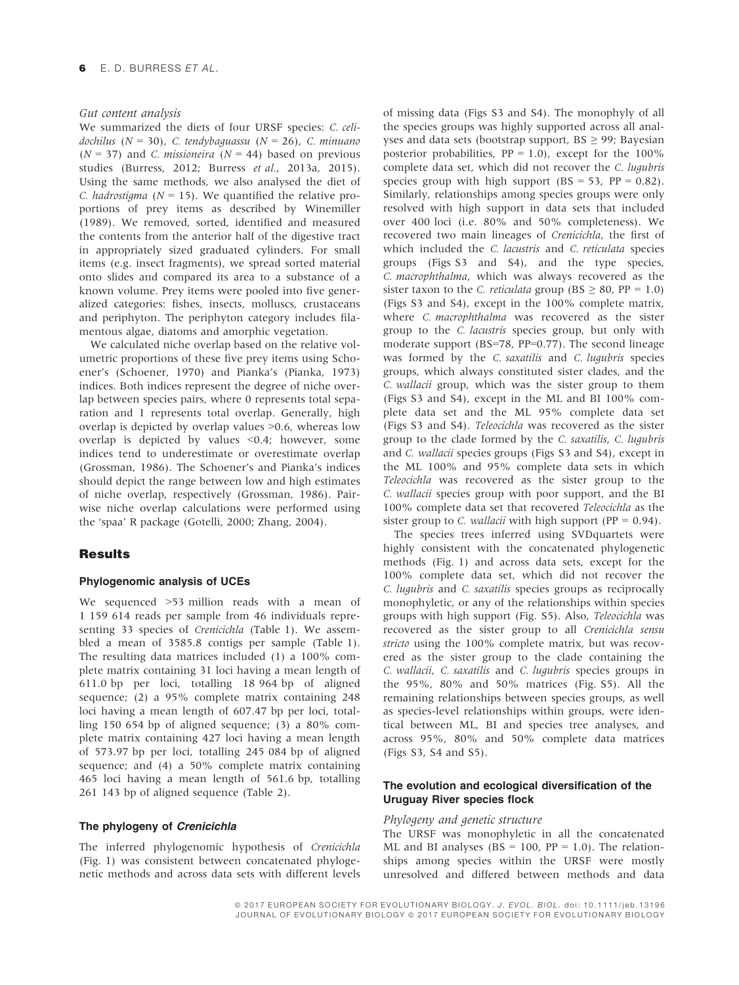#### Gut content analysis

We summarized the diets of four URSF species: C. celidochilus ( $N = 30$ ), C. tendybaguassu ( $N = 26$ ), C. minuano  $(N = 37)$  and *C. missioneira*  $(N = 44)$  based on previous studies (Burress, 2012; Burress et al., 2013a, 2015). Using the same methods, we also analysed the diet of C. hadrostigma ( $N = 15$ ). We quantified the relative proportions of prey items as described by Winemiller (1989). We removed, sorted, identified and measured the contents from the anterior half of the digestive tract in appropriately sized graduated cylinders. For small items (e.g. insect fragments), we spread sorted material onto slides and compared its area to a substance of a known volume. Prey items were pooled into five generalized categories: fishes, insects, molluscs, crustaceans and periphyton. The periphyton category includes filamentous algae, diatoms and amorphic vegetation.

We calculated niche overlap based on the relative volumetric proportions of these five prey items using Schoener's (Schoener, 1970) and Pianka's (Pianka, 1973) indices. Both indices represent the degree of niche overlap between species pairs, where 0 represents total separation and 1 represents total overlap. Generally, high overlap is depicted by overlap values >0.6, whereas low overlap is depicted by values <0.4; however, some indices tend to underestimate or overestimate overlap (Grossman, 1986). The Schoener's and Pianka's indices should depict the range between low and high estimates of niche overlap, respectively (Grossman, 1986). Pairwise niche overlap calculations were performed using the 'spaa' R package (Gotelli, 2000; Zhang, 2004).

#### **Results**

#### Phylogenomic analysis of UCEs

We sequenced >53 million reads with a mean of 1 159 614 reads per sample from 46 individuals representing 33 species of Crenicichla (Table 1). We assembled a mean of 3585.8 contigs per sample (Table 1). The resulting data matrices included (1) a 100% complete matrix containing 31 loci having a mean length of 611.0 bp per loci, totalling 18 964 bp of aligned sequence; (2) a 95% complete matrix containing 248 loci having a mean length of 607.47 bp per loci, totalling 150 654 bp of aligned sequence; (3) a 80% complete matrix containing 427 loci having a mean length of 573.97 bp per loci, totalling 245 084 bp of aligned sequence; and (4) a 50% complete matrix containing 465 loci having a mean length of 561.6 bp, totalling 261 143 bp of aligned sequence (Table 2).

#### The phylogeny of Crenicichla

The inferred phylogenomic hypothesis of Crenicichla (Fig. 1) was consistent between concatenated phylogenetic methods and across data sets with different levels

of missing data (Figs S3 and S4). The monophyly of all the species groups was highly supported across all analyses and data sets (bootstrap support,  $BS \geq 99$ ; Bayesian posterior probabilities,  $PP = 1.0$ ), except for the 100% complete data set, which did not recover the C. lugubris species group with high support  $(BS = 53, PP = 0.82)$ . Similarly, relationships among species groups were only resolved with high support in data sets that included over 400 loci (i.e. 80% and 50% completeness). We recovered two main lineages of Crenicichla, the first of which included the C. lacustris and C. reticulata species groups (Figs S3 and S4), and the type species, C. macrophthalma, which was always recovered as the sister taxon to the C. *reticulata* group (BS  $\geq$  80, PP = 1.0) (Figs S3 and S4), except in the 100% complete matrix, where *C. macrophthalma* was recovered as the sister group to the C. lacustris species group, but only with moderate support (BS=78, PP=0.77). The second lineage was formed by the C. saxatilis and C. lugubris species groups, which always constituted sister clades, and the C. wallacii group, which was the sister group to them (Figs S3 and S4), except in the ML and BI 100% complete data set and the ML 95% complete data set (Figs S3 and S4). Teleocichla was recovered as the sister group to the clade formed by the C. saxatilis, C. lugubris and C. wallacii species groups (Figs S3 and S4), except in the ML 100% and 95% complete data sets in which Teleocichla was recovered as the sister group to the C. wallacii species group with poor support, and the BI 100% complete data set that recovered Teleocichla as the sister group to C. *wallacii* with high support ( $PP = 0.94$ ).

The species trees inferred using SVDquartets were highly consistent with the concatenated phylogenetic methods (Fig. 1) and across data sets, except for the 100% complete data set, which did not recover the C. lugubris and C. saxatilis species groups as reciprocally monophyletic, or any of the relationships within species groups with high support (Fig. S5). Also, Teleocichla was recovered as the sister group to all Crenicichla sensu stricto using the 100% complete matrix, but was recovered as the sister group to the clade containing the C. wallacii, C. saxatilis and C. lugubris species groups in the 95%, 80% and 50% matrices (Fig. S5). All the remaining relationships between species groups, as well as species-level relationships within groups, were identical between ML, BI and species tree analyses, and across 95%, 80% and 50% complete data matrices (Figs S3, S4 and S5).

## The evolution and ecological diversification of the Uruguay River species flock

#### Phylogeny and genetic structure

The URSF was monophyletic in all the concatenated ML and BI analyses ( $BS = 100$ ,  $PP = 1.0$ ). The relationships among species within the URSF were mostly unresolved and differed between methods and data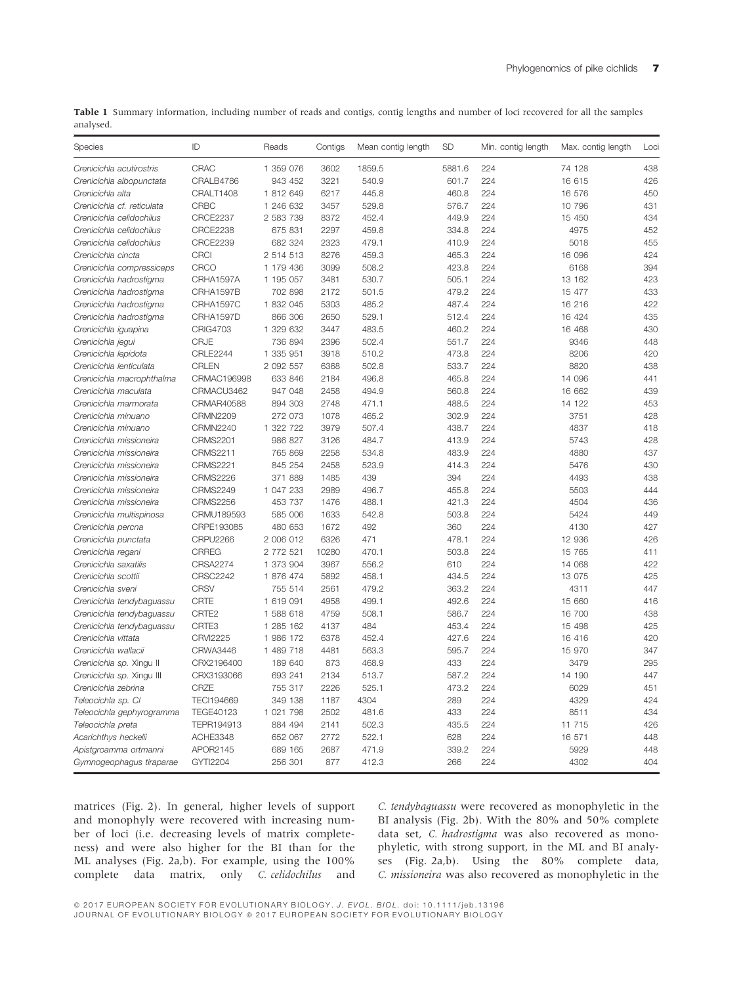Table 1 Summary information, including number of reads and contigs, contig lengths and number of loci recovered for all the samples analysed.

| Species                    | ID                | Reads     | Contigs | Mean contig length | <b>SD</b> | Min. contig length | Max. contig length | Loci |
|----------------------------|-------------------|-----------|---------|--------------------|-----------|--------------------|--------------------|------|
| Crenicichla acutirostris   | CRAC              | 1 359 076 | 3602    | 1859.5             | 5881.6    | 224                | 74 128             | 438  |
| Crenicichla albopunctata   | CRALB4786         | 943 452   | 3221    | 540.9              | 601.7     | 224                | 16 615             | 426  |
| Crenicichla alta           | CRALT1408         | 1 812 649 | 6217    | 445.8              | 460.8     | 224                | 16 576             | 450  |
| Crenicichla cf. reticulata | <b>CRBC</b>       | 1 246 632 | 3457    | 529.8              | 576.7     | 224                | 10 796             | 431  |
| Crenicichla celidochilus   | <b>CRCE2237</b>   | 2 583 739 | 8372    | 452.4              | 449.9     | 224                | 15 450             | 434  |
| Crenicichla celidochilus   | <b>CRCE2238</b>   | 675 831   | 2297    | 459.8              | 334.8     | 224                | 4975               | 452  |
| Crenicichla celidochilus   | <b>CRCE2239</b>   | 682 324   | 2323    | 479.1              | 410.9     | 224                | 5018               | 455  |
| Crenicichla cincta         | <b>CRCI</b>       | 2 514 513 | 8276    | 459.3              | 465.3     | 224                | 16 096             | 424  |
| Crenicichla compressiceps  | CRCO              | 1 179 436 | 3099    | 508.2              | 423.8     | 224                | 6168               | 394  |
| Crenicichla hadrostigma    | CRHA1597A         | 1 195 057 | 3481    | 530.7              | 505.1     | 224                | 13 162             | 423  |
| Crenicichla hadrostigma    | CRHA1597B         | 702 898   | 2172    | 501.5              | 479.2     | 224                | 15 477             | 433  |
| Crenicichla hadrostigma    | CRHA1597C         | 1 832 045 | 5303    | 485.2              | 487.4     | 224                | 16 216             | 422  |
| Crenicichla hadrostigma    | CRHA1597D         | 866 306   | 2650    | 529.1              | 512.4     | 224                | 16 424             | 435  |
| Crenicichla iguapina       | <b>CRIG4703</b>   | 1 329 632 | 3447    | 483.5              | 460.2     | 224                | 16 468             | 430  |
| Crenicichla jegui          | <b>CRJE</b>       | 736 894   | 2396    | 502.4              | 551.7     | 224                | 9346               | 448  |
| Crenicichla lepidota       | <b>CRLE2244</b>   | 1 335 951 | 3918    | 510.2              | 473.8     | 224                | 8206               | 420  |
| Crenicichla lenticulata    | CRLEN             | 2 092 557 | 6368    | 502.8              | 533.7     | 224                | 8820               | 438  |
| Crenicichla macrophthalma  | CRMAC196998       | 633 846   | 2184    | 496.8              | 465.8     | 224                | 14 096             | 441  |
| Crenicichla maculata       | CRMACU3462        | 947 048   | 2458    | 494.9              | 560.8     | 224                | 16 662             | 439  |
| Crenicichla marmorata      | CRMAR40588        | 894 303   | 2748    | 471.1              | 488.5     | 224                | 14 122             | 453  |
| Crenicichla minuano        | <b>CRMN2209</b>   | 272 073   | 1078    | 465.2              | 302.9     | 224                | 3751               | 428  |
| Crenicichla minuano        | <b>CRMN2240</b>   | 1 322 722 | 3979    | 507.4              | 438.7     | 224                | 4837               | 418  |
| Crenicichla missioneira    | <b>CRMS2201</b>   | 986 827   | 3126    | 484.7              | 413.9     | 224                | 5743               | 428  |
| Crenicichla missioneira    | CRMS2211          | 765 869   | 2258    | 534.8              | 483.9     | 224                | 4880               | 437  |
| Crenicichla missioneira    | <b>CRMS2221</b>   | 845 254   | 2458    | 523.9              | 414.3     | 224                | 5476               | 430  |
| Crenicichla missioneira    | <b>CRMS2226</b>   | 371 889   | 1485    | 439                | 394       | 224                | 4493               | 438  |
| Crenicichla missioneira    | <b>CRMS2249</b>   | 1 047 233 | 2989    | 496.7              | 455.8     | 224                | 5503               | 444  |
| Crenicichla missioneira    | <b>CRMS2256</b>   | 453 737   | 1476    | 488.1              | 421.3     | 224                | 4504               | 436  |
| Crenicichla multispinosa   | CRMU189593        | 585 006   | 1633    | 542.8              | 503.8     | 224                | 5424               | 449  |
| Crenicichla percna         | CRPE193085        | 480 653   | 1672    | 492                | 360       | 224                | 4130               | 427  |
| Crenicichla punctata       | CRPU2266          | 2 006 012 | 6326    | 471                | 478.1     | 224                | 12 936             | 426  |
| Crenicichla regani         | <b>CRREG</b>      | 2 772 521 | 10280   | 470.1              | 503.8     | 224                | 15 765             | 411  |
| Crenicichla saxatilis      | <b>CRSA2274</b>   | 1 373 904 | 3967    | 556.2              | 610       | 224                | 14 068             | 422  |
| Crenicichla scottii        | <b>CRSC2242</b>   | 1 876 474 | 5892    | 458.1              | 434.5     | 224                | 13 075             | 425  |
| Crenicichla sveni          | <b>CRSV</b>       | 755 514   | 2561    | 479.2              | 363.2     | 224                | 4311               | 447  |
| Crenicichla tendybaguassu  | CRTE              | 1 619 091 | 4958    | 499.1              | 492.6     | 224                | 15 660             | 416  |
| Crenicichla tendybaguassu  | CRTE2             | 1 588 618 | 4759    | 508.1              | 586.7     | 224                | 16 700             | 438  |
| Crenicichla tendybaguassu  | CRTE3             | 1 285 162 | 4137    | 484                | 453.4     | 224                | 15 498             | 425  |
| Crenicichla vittata        | <b>CRVI2225</b>   | 1 986 172 | 6378    | 452.4              | 427.6     | 224                | 16 416             | 420  |
| Crenicichla wallacii       | CRWA3446          | 1 489 718 | 4481    | 563.3              | 595.7     | 224                | 15 970             | 347  |
| Crenicichla sp. Xingu II   | CRX2196400        | 189 640   | 873     | 468.9              | 433       | 224                | 3479               | 295  |
| Crenicichla sp. Xingu III  | CRX3193066        | 693 241   | 2134    | 513.7              | 587.2     | 224                | 14 190             | 447  |
| Crenicichla zebrina        | CRZE              | 755 317   | 2226    | 525.1              | 473.2     | 224                | 6029               | 451  |
| Teleocichla sp. Cl         | <b>TECI194669</b> | 349 138   | 1187    | 4304               | 289       | 224                | 4329               | 424  |
| Teleocichla gephyrogramma  | <b>TEGE40123</b>  | 1 021 798 | 2502    | 481.6              | 433       | 224                | 8511               | 434  |
| Teleocichla preta          | TEPR194913        | 884 494   | 2141    | 502.3              | 435.5     | 224                | 11 715             | 426  |
| Acarichthys heckelii       | ACHE3348          | 652 067   | 2772    | 522.1              | 628       | 224                | 16 571             | 448  |
| Apistgroamma ortmanni      | APOR2145          | 689 165   | 2687    | 471.9              | 339.2     | 224                | 5929               | 448  |
| Gymnogeophagus tiraparae   | GYTI2204          | 256 301   | 877     | 412.3              | 266       | 224                | 4302               | 404  |

matrices (Fig. 2). In general, higher levels of support and monophyly were recovered with increasing number of loci (i.e. decreasing levels of matrix completeness) and were also higher for the BI than for the ML analyses (Fig. 2a,b). For example, using the 100% complete data matrix, only C. celidochilus and C. tendybaguassu were recovered as monophyletic in the BI analysis (Fig. 2b). With the 80% and 50% complete data set, C. hadrostigma was also recovered as monophyletic, with strong support, in the ML and BI analyses (Fig. 2a,b). Using the 80% complete data, C. missioneira was also recovered as monophyletic in the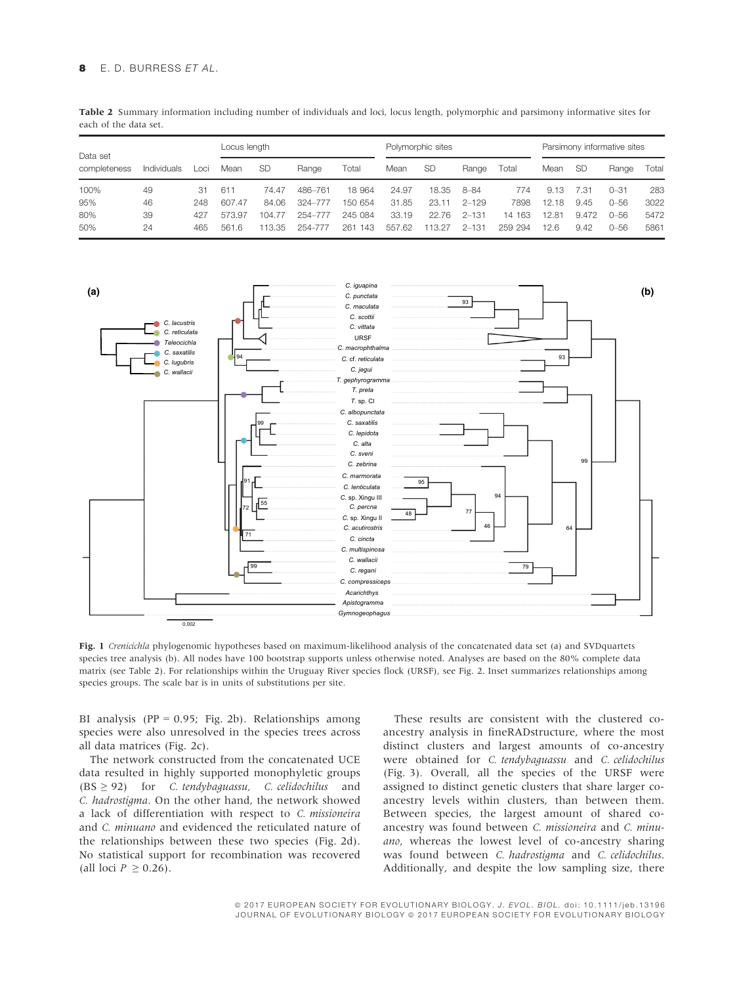Table 2 Summary information including number of individuals and loci, locus length, polymorphic and parsimony informative sites for each of the data set.

| Data set     |             |      |        | Locus length |         |         | Polymorphic sites |        |           |         | Parsimony informative sites |           |          |       |
|--------------|-------------|------|--------|--------------|---------|---------|-------------------|--------|-----------|---------|-----------------------------|-----------|----------|-------|
| completeness | Individuals | _oci | Mean   | -SD          | Range   | Total   | Mean              | -SD    | Range     | Total   | Mean                        | <b>SD</b> | Range    | Total |
| 100%         | 49          | 31   | 611    | 74.47        | 486-761 | 18 964  | 24.97             | 18.35  | 8-84      | 774     | 9.13                        | 7.31      | $0 - 31$ | 283   |
| 95%          | 46          | 248  | 607.47 | 84.06        | 324-777 | 150 654 | 31.85             | 23.11  | $2 - 129$ | 7898    | 12.18                       | 9.45      | $0 - 56$ | 3022  |
| 80%          | 39          | 427  | 573.97 | 104.77       | 254-777 | 245 084 | 33.19             | 22.76  | $2 - 131$ | 14 163  | 12.81                       | 9.472     | $0 - 56$ | 5472  |
| 50%          | 24          | 465  | 561.6  | 113.35       | 254-777 | 261 143 | 557.62            | 113.27 | $2 - 131$ | 259 294 | 12.6                        | 9.42      | 0–56     | 5861  |



Fig. 1 Crenicichla phylogenomic hypotheses based on maximum-likelihood analysis of the concatenated data set (a) and SVDquartets species tree analysis (b). All nodes have 100 bootstrap supports unless otherwise noted. Analyses are based on the 80% complete data matrix (see Table 2). For relationships within the Uruguay River species flock (URSF), see Fig. 2. Inset summarizes relationships among species groups. The scale bar is in units of substitutions per site.

BI analysis (PP =  $0.95$ ; Fig. 2b). Relationships among species were also unresolved in the species trees across all data matrices (Fig. 2c).

The network constructed from the concatenated UCE data resulted in highly supported monophyletic groups  $(BS \geq 92)$  for *C. tendybaguassu*, *C. celidochilus* and C. hadrostigma. On the other hand, the network showed a lack of differentiation with respect to C. missioneira and C. minuano and evidenced the reticulated nature of the relationships between these two species (Fig. 2d). No statistical support for recombination was recovered (all loci  $P \geq 0.26$ ).

These results are consistent with the clustered coancestry analysis in fineRADstructure, where the most distinct clusters and largest amounts of co-ancestry were obtained for C. tendybaguassu and C. celidochilus (Fig. 3). Overall, all the species of the URSF were assigned to distinct genetic clusters that share larger coancestry levels within clusters, than between them. Between species, the largest amount of shared coancestry was found between C. missioneira and C. minuano, whereas the lowest level of co-ancestry sharing was found between C. hadrostigma and C. celidochilus. Additionally, and despite the low sampling size, there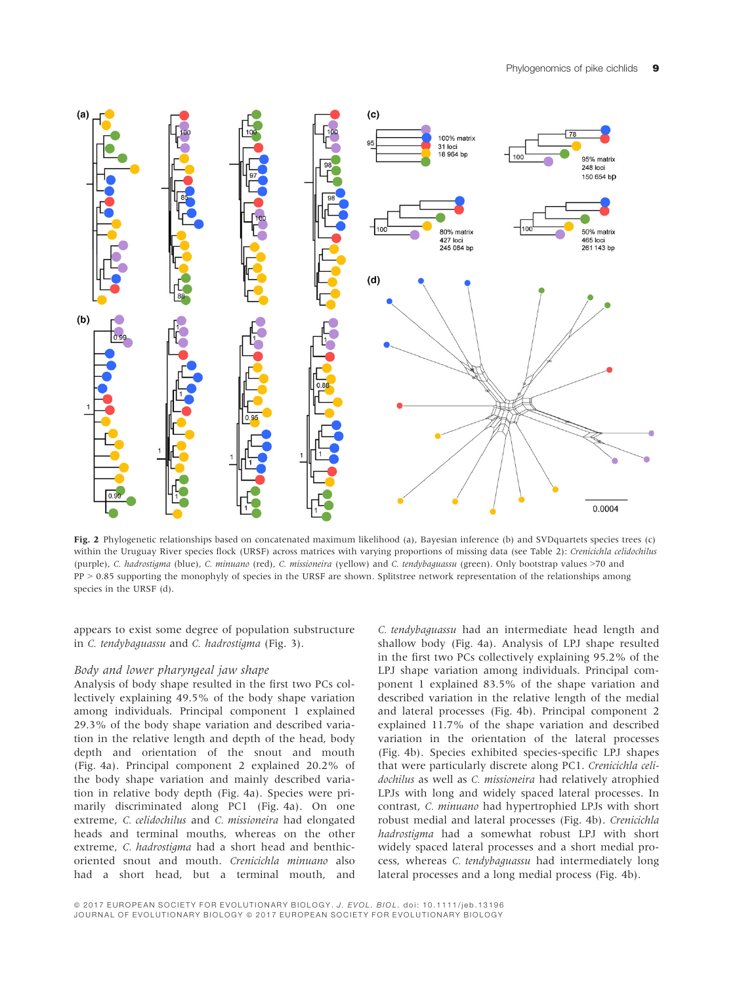

Fig. 2 Phylogenetic relationships based on concatenated maximum likelihood (a), Bayesian inference (b) and SVDquartets species trees (c) within the Uruguay River species flock (URSF) across matrices with varying proportions of missing data (see Table 2): Crenicichla celidochilus (purple), C. hadrostigma (blue), C. minuano (red), C. missioneira (yellow) and C. tendybaguassu (green). Only bootstrap values >70 and PP > 0.85 supporting the monophyly of species in the URSF are shown. Splitstree network representation of the relationships among species in the URSF (d).

appears to exist some degree of population substructure in C. tendybaguassu and C. hadrostigma (Fig. 3).

#### Body and lower pharyngeal jaw shape

Analysis of body shape resulted in the first two PCs collectively explaining 49.5% of the body shape variation among individuals. Principal component 1 explained 29.3% of the body shape variation and described variation in the relative length and depth of the head, body depth and orientation of the snout and mouth (Fig. 4a). Principal component 2 explained 20.2% of the body shape variation and mainly described variation in relative body depth (Fig. 4a). Species were primarily discriminated along PC1 (Fig. 4a). On one extreme, C. celidochilus and C. missioneira had elongated heads and terminal mouths, whereas on the other extreme, *C. hadrostigma* had a short head and benthicoriented snout and mouth. Crenicichla minuano also had a short head, but a terminal mouth, and

C. tendybaguassu had an intermediate head length and shallow body (Fig. 4a). Analysis of LPJ shape resulted in the first two PCs collectively explaining 95.2% of the LPJ shape variation among individuals. Principal component 1 explained 83.5% of the shape variation and described variation in the relative length of the medial and lateral processes (Fig. 4b). Principal component 2 explained 11.7% of the shape variation and described variation in the orientation of the lateral processes (Fig. 4b). Species exhibited species-specific LPJ shapes that were particularly discrete along PC1. Crenicichla celidochilus as well as C. missioneira had relatively atrophied LPJs with long and widely spaced lateral processes. In contrast, C. minuano had hypertrophied LPJs with short robust medial and lateral processes (Fig. 4b). Crenicichla hadrostigma had a somewhat robust LPJ with short widely spaced lateral processes and a short medial process, whereas C. tendybaguassu had intermediately long lateral processes and a long medial process (Fig. 4b).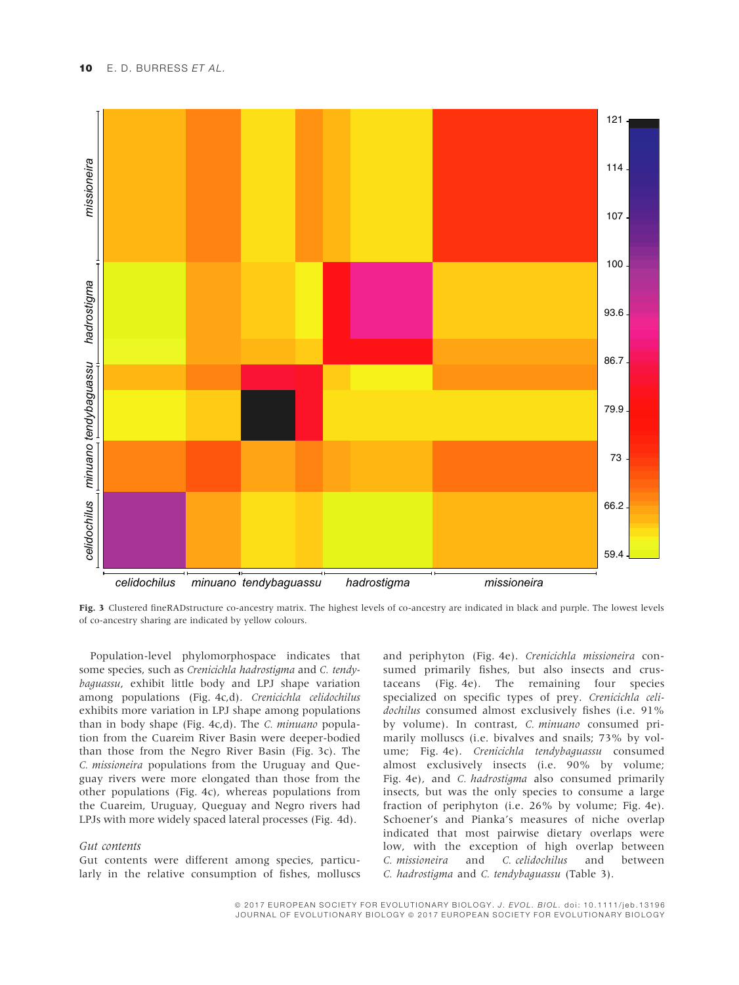

Fig. 3 Clustered fineRADstructure co-ancestry matrix. The highest levels of co-ancestry are indicated in black and purple. The lowest levels of co-ancestry sharing are indicated by yellow colours.

Population-level phylomorphospace indicates that some species, such as Crenicichla hadrostigma and C. tendybaguassu, exhibit little body and LPJ shape variation among populations (Fig. 4c,d). Crenicichla celidochilus exhibits more variation in LPJ shape among populations than in body shape (Fig. 4c,d). The C. minuano population from the Cuareim River Basin were deeper-bodied than those from the Negro River Basin (Fig. 3c). The C. missioneira populations from the Uruguay and Queguay rivers were more elongated than those from the other populations (Fig. 4c), whereas populations from the Cuareim, Uruguay, Queguay and Negro rivers had LPJs with more widely spaced lateral processes (Fig. 4d).

#### Gut contents

Gut contents were different among species, particularly in the relative consumption of fishes, molluscs

and periphyton (Fig. 4e). Crenicichla missioneira consumed primarily fishes, but also insects and crustaceans (Fig. 4e). The remaining four species specialized on specific types of prey. Crenicichla celidochilus consumed almost exclusively fishes (i.e. 91% by volume). In contrast, C. minuano consumed primarily molluscs (i.e. bivalves and snails; 73% by volume; Fig. 4e). Crenicichla tendybaguassu consumed almost exclusively insects (i.e. 90% by volume; Fig. 4e), and C. hadrostigma also consumed primarily insects, but was the only species to consume a large fraction of periphyton (i.e. 26% by volume; Fig. 4e). Schoener's and Pianka's measures of niche overlap indicated that most pairwise dietary overlaps were low, with the exception of high overlap between C. missioneira and C. celidochilus and between C. hadrostigma and C. tendybaguassu (Table 3).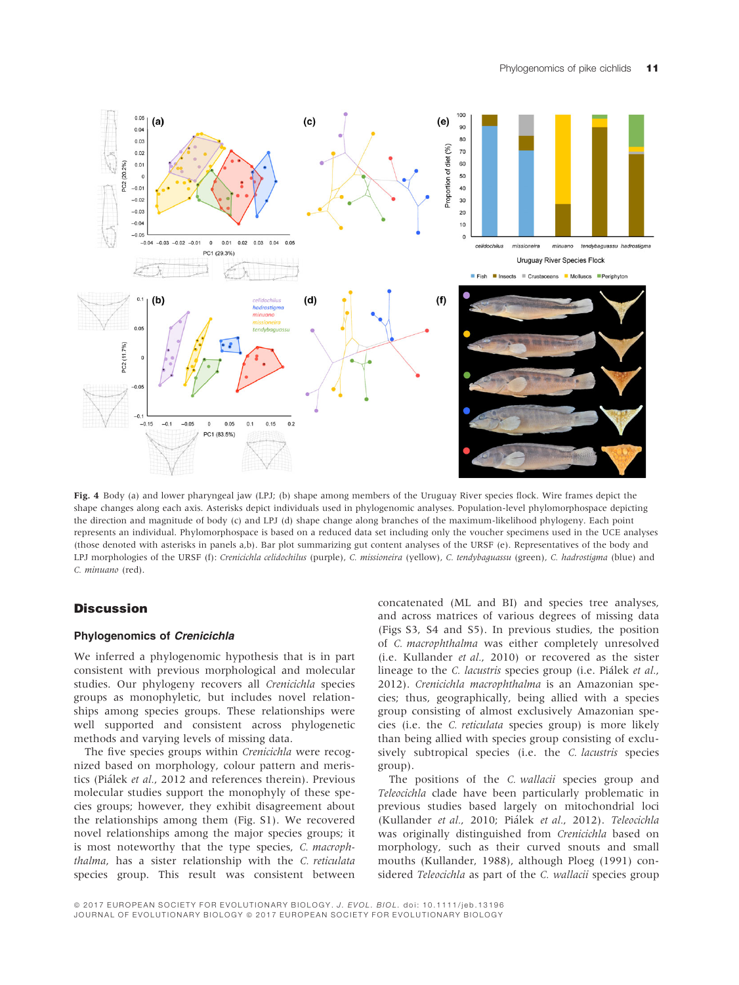

Fig. 4 Body (a) and lower pharyngeal jaw (LPJ; (b) shape among members of the Uruguay River species flock. Wire frames depict the shape changes along each axis. Asterisks depict individuals used in phylogenomic analyses. Population-level phylomorphospace depicting the direction and magnitude of body (c) and LPJ (d) shape change along branches of the maximum-likelihood phylogeny. Each point represents an individual. Phylomorphospace is based on a reduced data set including only the voucher specimens used in the UCE analyses (those denoted with asterisks in panels a,b). Bar plot summarizing gut content analyses of the URSF (e). Representatives of the body and LPJ morphologies of the URSF (f): Crenicichla celidochilus (purple), C. missioneira (yellow), C. tendybaguassu (green), C. hadrostigma (blue) and C. minuano (red).

# **Discussion**

#### Phylogenomics of Crenicichla

We inferred a phylogenomic hypothesis that is in part consistent with previous morphological and molecular studies. Our phylogeny recovers all Crenicichla species groups as monophyletic, but includes novel relationships among species groups. These relationships were well supported and consistent across phylogenetic methods and varying levels of missing data.

The five species groups within Crenicichla were recognized based on morphology, colour pattern and meristics (Pialek et al., 2012 and references therein). Previous molecular studies support the monophyly of these species groups; however, they exhibit disagreement about the relationships among them (Fig. S1). We recovered novel relationships among the major species groups; it is most noteworthy that the type species, C. macrophthalma, has a sister relationship with the C. reticulata species group. This result was consistent between concatenated (ML and BI) and species tree analyses, and across matrices of various degrees of missing data (Figs S3, S4 and S5). In previous studies, the position of C. macrophthalma was either completely unresolved (i.e. Kullander et al., 2010) or recovered as the sister lineage to the C. lacustris species group (i.e. Pialek et al., 2012). Crenicichla macrophthalma is an Amazonian species; thus, geographically, being allied with a species group consisting of almost exclusively Amazonian species (i.e. the C. reticulata species group) is more likely than being allied with species group consisting of exclusively subtropical species (i.e. the C. lacustris species group).

The positions of the C. wallacii species group and Teleocichla clade have been particularly problematic in previous studies based largely on mitochondrial loci (Kullander et al., 2010; Pialek et al., 2012). Teleocichla was originally distinguished from Crenicichla based on morphology, such as their curved snouts and small mouths (Kullander, 1988), although Ploeg (1991) considered Teleocichla as part of the C. wallacii species group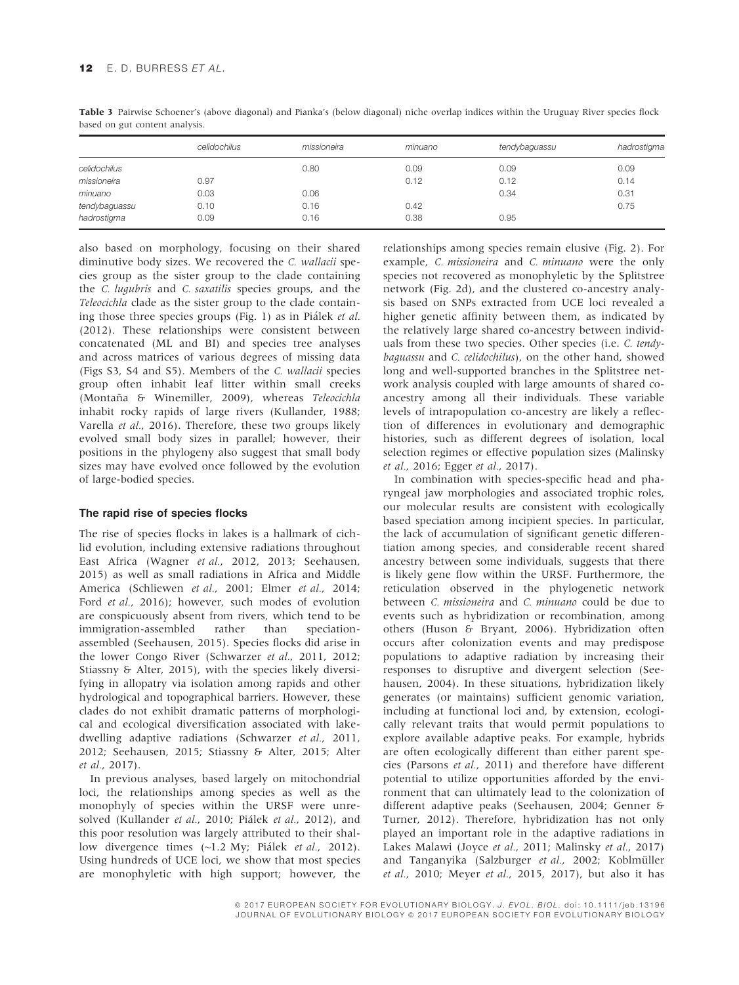|               | celidochilus | missioneira | minuano | tendybaguassu | hadrostigma |
|---------------|--------------|-------------|---------|---------------|-------------|
| celidochilus  |              | 0.80        | 0.09    | 0.09          | 0.09        |
| missioneira   | 0.97         |             | 0.12    | 0.12          | 0.14        |
| minuano       | 0.03         | 0.06        |         | 0.34          | 0.31        |
| tendybaguassu | 0.10         | 0.16        | 0.42    |               | 0.75        |
| hadrostigma   | 0.09         | 0.16        | 0.38    | 0.95          |             |

Table 3 Pairwise Schoener's (above diagonal) and Pianka's (below diagonal) niche overlap indices within the Uruguay River species flock based on gut content analysis.

also based on morphology, focusing on their shared diminutive body sizes. We recovered the C. wallacii species group as the sister group to the clade containing the C. lugubris and C. saxatilis species groups, and the Teleocichla clade as the sister group to the clade containing those three species groups (Fig. 1) as in Pialek et al. (2012). These relationships were consistent between concatenated (ML and BI) and species tree analyses and across matrices of various degrees of missing data (Figs S3, S4 and S5). Members of the C. wallacii species group often inhabit leaf litter within small creeks (Montaña & Winemiller, 2009), whereas Teleocichla inhabit rocky rapids of large rivers (Kullander, 1988; Varella et al., 2016). Therefore, these two groups likely evolved small body sizes in parallel; however, their positions in the phylogeny also suggest that small body sizes may have evolved once followed by the evolution of large-bodied species.

#### The rapid rise of species flocks

The rise of species flocks in lakes is a hallmark of cichlid evolution, including extensive radiations throughout East Africa (Wagner et al., 2012, 2013; Seehausen, 2015) as well as small radiations in Africa and Middle America (Schliewen et al., 2001; Elmer et al., 2014; Ford et al., 2016); however, such modes of evolution are conspicuously absent from rivers, which tend to be immigration-assembled rather than speciationassembled (Seehausen, 2015). Species flocks did arise in the lower Congo River (Schwarzer et al., 2011, 2012; Stiassny & Alter, 2015), with the species likely diversifying in allopatry via isolation among rapids and other hydrological and topographical barriers. However, these clades do not exhibit dramatic patterns of morphological and ecological diversification associated with lakedwelling adaptive radiations (Schwarzer et al., 2011, 2012; Seehausen, 2015; Stiassny & Alter, 2015; Alter et al., 2017).

In previous analyses, based largely on mitochondrial loci, the relationships among species as well as the monophyly of species within the URSF were unresolved (Kullander et al., 2010; Piálek et al., 2012), and this poor resolution was largely attributed to their shallow divergence times (~1.2 My; Piálek et al., 2012). Using hundreds of UCE loci, we show that most species are monophyletic with high support; however, the

relationships among species remain elusive (Fig. 2). For example, C. missioneira and C. minuano were the only species not recovered as monophyletic by the Splitstree network (Fig. 2d), and the clustered co-ancestry analysis based on SNPs extracted from UCE loci revealed a higher genetic affinity between them, as indicated by the relatively large shared co-ancestry between individuals from these two species. Other species (i.e. C. tendybaguassu and C. celidochilus), on the other hand, showed long and well-supported branches in the Splitstree network analysis coupled with large amounts of shared coancestry among all their individuals. These variable levels of intrapopulation co-ancestry are likely a reflection of differences in evolutionary and demographic histories, such as different degrees of isolation, local selection regimes or effective population sizes (Malinsky et al., 2016; Egger et al., 2017).

In combination with species-specific head and pharyngeal jaw morphologies and associated trophic roles, our molecular results are consistent with ecologically based speciation among incipient species. In particular, the lack of accumulation of significant genetic differentiation among species, and considerable recent shared ancestry between some individuals, suggests that there is likely gene flow within the URSF. Furthermore, the reticulation observed in the phylogenetic network between C. missioneira and C. minuano could be due to events such as hybridization or recombination, among others (Huson & Bryant, 2006). Hybridization often occurs after colonization events and may predispose populations to adaptive radiation by increasing their responses to disruptive and divergent selection (Seehausen, 2004). In these situations, hybridization likely generates (or maintains) sufficient genomic variation, including at functional loci and, by extension, ecologically relevant traits that would permit populations to explore available adaptive peaks. For example, hybrids are often ecologically different than either parent species (Parsons et al., 2011) and therefore have different potential to utilize opportunities afforded by the environment that can ultimately lead to the colonization of different adaptive peaks (Seehausen, 2004; Genner & Turner, 2012). Therefore, hybridization has not only played an important role in the adaptive radiations in Lakes Malawi (Joyce et al., 2011; Malinsky et al., 2017) and Tanganyika (Salzburger et al., 2002; Koblmüller et al., 2010; Meyer et al., 2015, 2017), but also it has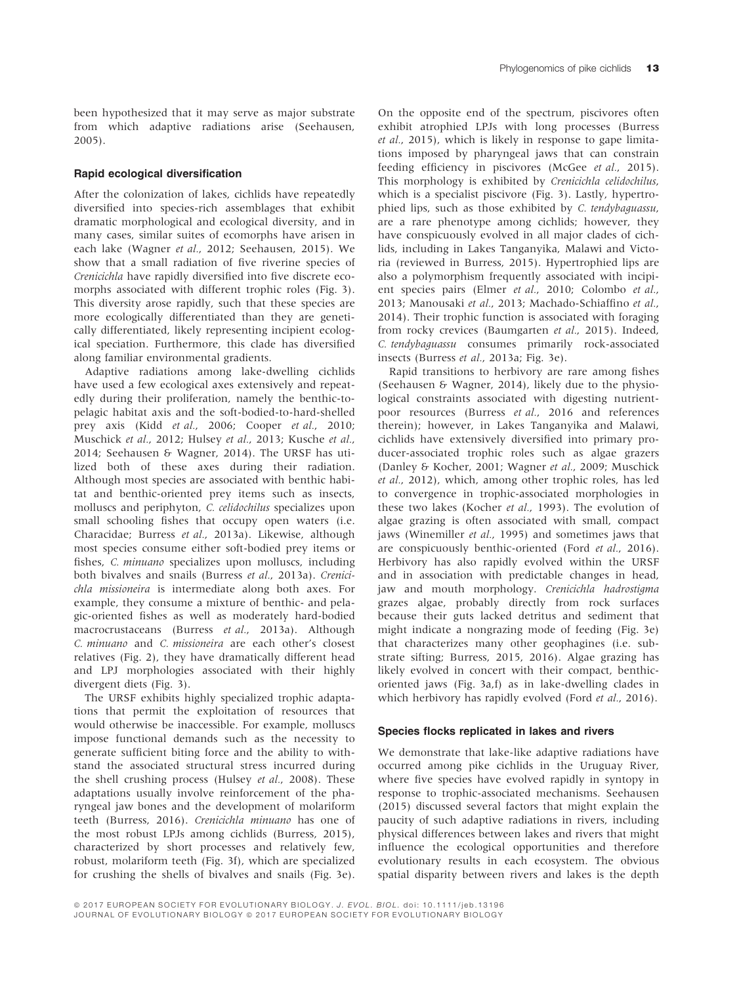been hypothesized that it may serve as major substrate from which adaptive radiations arise (Seehausen, 2005).

#### Rapid ecological diversification

After the colonization of lakes, cichlids have repeatedly diversified into species-rich assemblages that exhibit dramatic morphological and ecological diversity, and in many cases, similar suites of ecomorphs have arisen in each lake (Wagner et al., 2012; Seehausen, 2015). We show that a small radiation of five riverine species of Crenicichla have rapidly diversified into five discrete ecomorphs associated with different trophic roles (Fig. 3). This diversity arose rapidly, such that these species are more ecologically differentiated than they are genetically differentiated, likely representing incipient ecological speciation. Furthermore, this clade has diversified along familiar environmental gradients.

Adaptive radiations among lake-dwelling cichlids have used a few ecological axes extensively and repeatedly during their proliferation, namely the benthic-topelagic habitat axis and the soft-bodied-to-hard-shelled prey axis (Kidd et al., 2006; Cooper et al., 2010; Muschick et al., 2012; Hulsey et al., 2013; Kusche et al., 2014; Seehausen & Wagner, 2014). The URSF has utilized both of these axes during their radiation. Although most species are associated with benthic habitat and benthic-oriented prey items such as insects, molluscs and periphyton, C. celidochilus specializes upon small schooling fishes that occupy open waters (i.e. Characidae; Burress et al., 2013a). Likewise, although most species consume either soft-bodied prey items or fishes, C. minuano specializes upon molluscs, including both bivalves and snails (Burress et al., 2013a). Crenicichla missioneira is intermediate along both axes. For example, they consume a mixture of benthic- and pelagic-oriented fishes as well as moderately hard-bodied macrocrustaceans (Burress et al., 2013a). Although C. minuano and C. missioneira are each other's closest relatives (Fig. 2), they have dramatically different head and LPJ morphologies associated with their highly divergent diets (Fig. 3).

The URSF exhibits highly specialized trophic adaptations that permit the exploitation of resources that would otherwise be inaccessible. For example, molluscs impose functional demands such as the necessity to generate sufficient biting force and the ability to withstand the associated structural stress incurred during the shell crushing process (Hulsey et al., 2008). These adaptations usually involve reinforcement of the pharyngeal jaw bones and the development of molariform teeth (Burress, 2016). Crenicichla minuano has one of the most robust LPJs among cichlids (Burress, 2015), characterized by short processes and relatively few, robust, molariform teeth (Fig. 3f), which are specialized for crushing the shells of bivalves and snails (Fig. 3e).

On the opposite end of the spectrum, piscivores often exhibit atrophied LPJs with long processes (Burress et al., 2015), which is likely in response to gape limitations imposed by pharyngeal jaws that can constrain feeding efficiency in piscivores (McGee et al., 2015). This morphology is exhibited by Crenicichla celidochilus, which is a specialist piscivore (Fig. 3). Lastly, hypertrophied lips, such as those exhibited by C. tendybaguassu, are a rare phenotype among cichlids; however, they have conspicuously evolved in all major clades of cichlids, including in Lakes Tanganyika, Malawi and Victoria (reviewed in Burress, 2015). Hypertrophied lips are also a polymorphism frequently associated with incipient species pairs (Elmer et al., 2010; Colombo et al., 2013; Manousaki et al., 2013; Machado-Schiaffino et al., 2014). Their trophic function is associated with foraging from rocky crevices (Baumgarten et al., 2015). Indeed, C. tendybaguassu consumes primarily rock-associated insects (Burress et al., 2013a; Fig. 3e).

Rapid transitions to herbivory are rare among fishes (Seehausen & Wagner, 2014), likely due to the physiological constraints associated with digesting nutrientpoor resources (Burress et al., 2016 and references therein); however, in Lakes Tanganyika and Malawi, cichlids have extensively diversified into primary producer-associated trophic roles such as algae grazers (Danley & Kocher, 2001; Wagner et al., 2009; Muschick et al., 2012), which, among other trophic roles, has led to convergence in trophic-associated morphologies in these two lakes (Kocher et al., 1993). The evolution of algae grazing is often associated with small, compact jaws (Winemiller et al., 1995) and sometimes jaws that are conspicuously benthic-oriented (Ford et al., 2016). Herbivory has also rapidly evolved within the URSF and in association with predictable changes in head, jaw and mouth morphology. Crenicichla hadrostigma grazes algae, probably directly from rock surfaces because their guts lacked detritus and sediment that might indicate a nongrazing mode of feeding (Fig. 3e) that characterizes many other geophagines (i.e. substrate sifting; Burress, 2015, 2016). Algae grazing has likely evolved in concert with their compact, benthicoriented jaws (Fig. 3a,f) as in lake-dwelling clades in which herbivory has rapidly evolved (Ford et al., 2016).

#### Species flocks replicated in lakes and rivers

We demonstrate that lake-like adaptive radiations have occurred among pike cichlids in the Uruguay River, where five species have evolved rapidly in syntopy in response to trophic-associated mechanisms. Seehausen (2015) discussed several factors that might explain the paucity of such adaptive radiations in rivers, including physical differences between lakes and rivers that might influence the ecological opportunities and therefore evolutionary results in each ecosystem. The obvious spatial disparity between rivers and lakes is the depth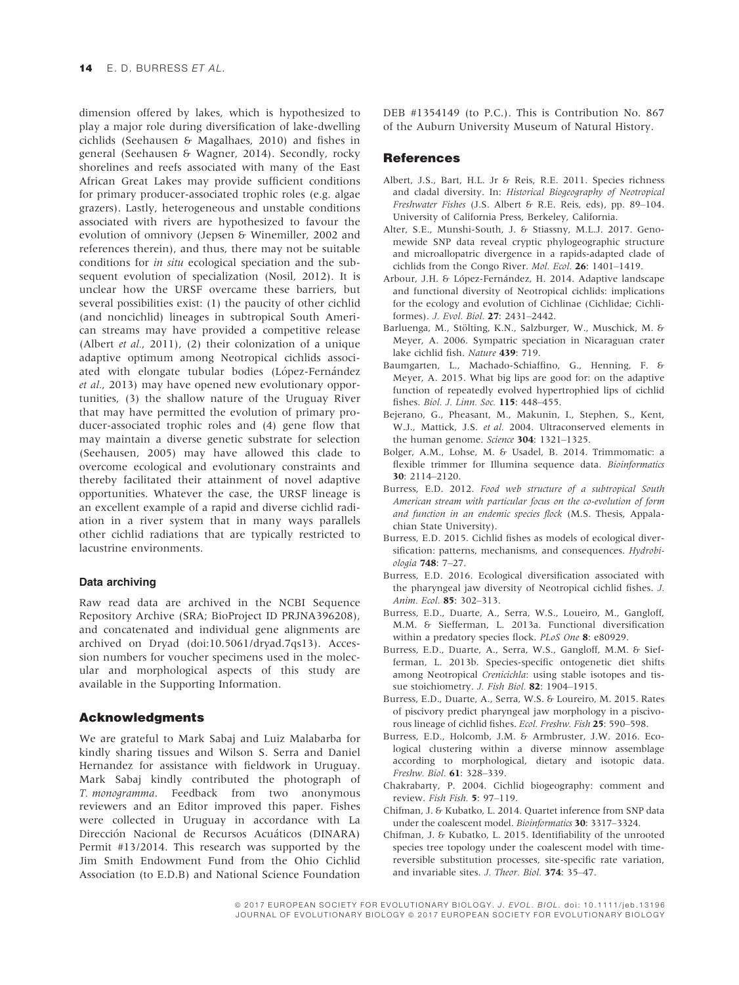dimension offered by lakes, which is hypothesized to play a major role during diversification of lake-dwelling cichlids (Seehausen & Magalhaes, 2010) and fishes in general (Seehausen & Wagner, 2014). Secondly, rocky shorelines and reefs associated with many of the East African Great Lakes may provide sufficient conditions for primary producer-associated trophic roles (e.g. algae grazers). Lastly, heterogeneous and unstable conditions associated with rivers are hypothesized to favour the evolution of omnivory (Jepsen & Winemiller, 2002 and references therein), and thus, there may not be suitable conditions for in situ ecological speciation and the subsequent evolution of specialization (Nosil, 2012). It is unclear how the URSF overcame these barriers, but several possibilities exist: (1) the paucity of other cichlid (and noncichlid) lineages in subtropical South American streams may have provided a competitive release (Albert et al., 2011), (2) their colonization of a unique adaptive optimum among Neotropical cichlids associated with elongate tubular bodies (López-Fernández et al., 2013) may have opened new evolutionary opportunities, (3) the shallow nature of the Uruguay River that may have permitted the evolution of primary producer-associated trophic roles and (4) gene flow that may maintain a diverse genetic substrate for selection (Seehausen, 2005) may have allowed this clade to overcome ecological and evolutionary constraints and thereby facilitated their attainment of novel adaptive opportunities. Whatever the case, the URSF lineage is an excellent example of a rapid and diverse cichlid radiation in a river system that in many ways parallels other cichlid radiations that are typically restricted to lacustrine environments.

#### Data archiving

Raw read data are archived in the NCBI Sequence Repository Archive (SRA; BioProject ID PRJNA396208), and concatenated and individual gene alignments are archived on Dryad (doi:10.5061/dryad.7qs13). Accession numbers for voucher specimens used in the molecular and morphological aspects of this study are available in the Supporting Information.

#### Acknowledgments

We are grateful to Mark Sabaj and Luiz Malabarba for kindly sharing tissues and Wilson S. Serra and Daniel Hernandez for assistance with fieldwork in Uruguay. Mark Sabaj kindly contributed the photograph of T. monogramma. Feedback from two anonymous reviewers and an Editor improved this paper. Fishes were collected in Uruguay in accordance with La Dirección Nacional de Recursos Acuáticos (DINARA) Permit #13/2014. This research was supported by the Jim Smith Endowment Fund from the Ohio Cichlid Association (to E.D.B) and National Science Foundation DEB #1354149 (to P.C.). This is Contribution No. 867 of the Auburn University Museum of Natural History.

#### **References**

- Albert, J.S., Bart, H.L. Jr & Reis, R.E. 2011. Species richness and cladal diversity. In: Historical Biogeography of Neotropical Freshwater Fishes (J.S. Albert & R.E. Reis, eds), pp. 89–104. University of California Press, Berkeley, California.
- Alter, S.E., Munshi-South, J. & Stiassny, M.L.J. 2017. Genomewide SNP data reveal cryptic phylogeographic structure and microallopatric divergence in a rapids-adapted clade of cichlids from the Congo River. Mol. Ecol. 26: 1401–1419.
- Arbour, J.H. & López-Fernández, H. 2014. Adaptive landscape and functional diversity of Neotropical cichlids: implications for the ecology and evolution of Cichlinae (Cichlidae; Cichliformes). J. Evol. Biol. 27: 2431–2442.
- Barluenga, M., Stölting, K.N., Salzburger, W., Muschick, M. & Meyer, A. 2006. Sympatric speciation in Nicaraguan crater lake cichlid fish. Nature 439: 719.
- Baumgarten, L., Machado-Schiaffino, G., Henning, F. & Meyer, A. 2015. What big lips are good for: on the adaptive function of repeatedly evolved hypertrophied lips of cichlid fishes. Biol. J. Linn. Soc. 115: 448–455.
- Bejerano, G., Pheasant, M., Makunin, I., Stephen, S., Kent, W.J., Mattick, J.S. et al. 2004. Ultraconserved elements in the human genome. Science 304: 1321-1325.
- Bolger, A.M., Lohse, M. & Usadel, B. 2014. Trimmomatic: a flexible trimmer for Illumina sequence data. Bioinformatics 30: 2114–2120.
- Burress, E.D. 2012. Food web structure of a subtropical South American stream with particular focus on the co-evolution of form and function in an endemic species flock (M.S. Thesis, Appalachian State University).
- Burress, E.D. 2015. Cichlid fishes as models of ecological diversification: patterns, mechanisms, and consequences. Hydrobiologia 748: 7–27.
- Burress, E.D. 2016. Ecological diversification associated with the pharyngeal jaw diversity of Neotropical cichlid fishes. J. Anim. Ecol. 85: 302–313.
- Burress, E.D., Duarte, A., Serra, W.S., Loueiro, M., Gangloff, M.M. & Siefferman, L. 2013a. Functional diversification within a predatory species flock. PLoS One 8: e80929.
- Burress, E.D., Duarte, A., Serra, W.S., Gangloff, M.M. & Siefferman, L. 2013b. Species-specific ontogenetic diet shifts among Neotropical Crenicichla: using stable isotopes and tissue stoichiometry. J. Fish Biol. <sup>82</sup>: 1904–1915.
- Burress, E.D., Duarte, A., Serra, W.S. & Loureiro, M. 2015. Rates of piscivory predict pharyngeal jaw morphology in a piscivorous lineage of cichlid fishes. Ecol. Freshw. Fish 25: 590–598.
- Burress, E.D., Holcomb, J.M. & Armbruster, J.W. 2016. Ecological clustering within a diverse minnow assemblage according to morphological, dietary and isotopic data. Freshw. Biol. 61: 328–339.
- Chakrabarty, P. 2004. Cichlid biogeography: comment and review. Fish Fish. 5: 97–119.
- Chifman, J. & Kubatko, L. 2014. Quartet inference from SNP data under the coalescent model. Bioinformatics 30: 3317-3324.
- Chifman, J. & Kubatko, L. 2015. Identifiability of the unrooted species tree topology under the coalescent model with timereversible substitution processes, site-specific rate variation, and invariable sites. J. Theor. Biol. 374: 35–47.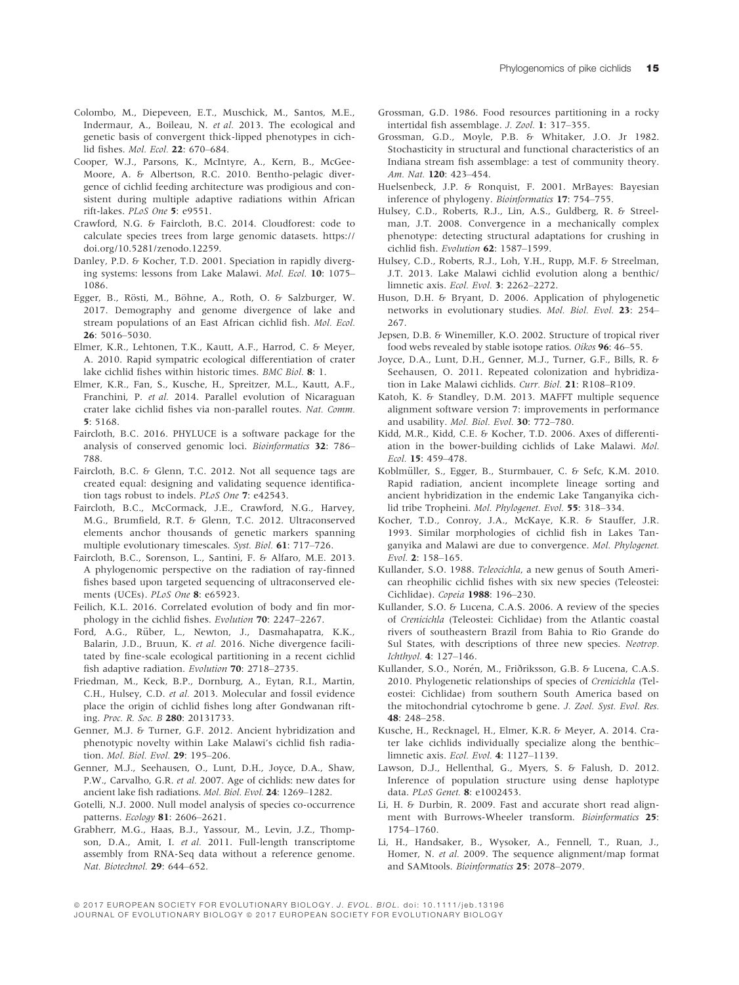- Colombo, M., Diepeveen, E.T., Muschick, M., Santos, M.E., Indermaur, A., Boileau, N. et al. 2013. The ecological and genetic basis of convergent thick-lipped phenotypes in cichlid fishes. Mol. Ecol. 22: 670–684.
- Cooper, W.J., Parsons, K., McIntyre, A., Kern, B., McGee-Moore, A. & Albertson, R.C. 2010. Bentho-pelagic divergence of cichlid feeding architecture was prodigious and consistent during multiple adaptive radiations within African rift-lakes. PLoS One 5: e9551.
- Crawford, N.G. & Faircloth, B.C. 2014. Cloudforest: code to calculate species trees from large genomic datasets. [https://](https://doi.org/10.5281/zenodo.12259) [doi.org/10.5281/zenodo.12259](https://doi.org/10.5281/zenodo.12259).
- Danley, P.D. & Kocher, T.D. 2001. Speciation in rapidly diverging systems: lessons from Lake Malawi. Mol. Ecol. 10: 1075– 1086.
- Egger, B., Rösti, M., Böhne, A., Roth, O. & Salzburger, W. 2017. Demography and genome divergence of lake and stream populations of an East African cichlid fish. Mol. Ecol. 26: 5016–5030.
- Elmer, K.R., Lehtonen, T.K., Kautt, A.F., Harrod, C. & Meyer, A. 2010. Rapid sympatric ecological differentiation of crater lake cichlid fishes within historic times. BMC Biol. 8: 1.
- Elmer, K.R., Fan, S., Kusche, H., Spreitzer, M.L., Kautt, A.F., Franchini, P. et al. 2014. Parallel evolution of Nicaraguan crater lake cichlid fishes via non-parallel routes. Nat. Comm. 5: 5168.
- Faircloth, B.C. 2016. PHYLUCE is a software package for the analysis of conserved genomic loci. Bioinformatics 32: 786– 788.
- Faircloth, B.C. & Glenn, T.C. 2012. Not all sequence tags are created equal: designing and validating sequence identification tags robust to indels. PLoS One 7: e42543.
- Faircloth, B.C., McCormack, J.E., Crawford, N.G., Harvey, M.G., Brumfield, R.T. & Glenn, T.C. 2012. Ultraconserved elements anchor thousands of genetic markers spanning multiple evolutionary timescales. Syst. Biol. 61: 717–726.
- Faircloth, B.C., Sorenson, L., Santini, F. & Alfaro, M.E. 2013. A phylogenomic perspective on the radiation of ray-finned fishes based upon targeted sequencing of ultraconserved elements (UCEs). PLoS One 8: e65923.
- Feilich, K.L. 2016. Correlated evolution of body and fin morphology in the cichlid fishes. Evolution 70: 2247–2267.
- Ford, A.G., Rüber, L., Newton, J., Dasmahapatra, K.K., Balarin, J.D., Bruun, K. et al. 2016. Niche divergence facilitated by fine-scale ecological partitioning in a recent cichlid fish adaptive radiation. Evolution 70: 2718–2735.
- Friedman, M., Keck, B.P., Dornburg, A., Eytan, R.I., Martin, C.H., Hulsey, C.D. et al. 2013. Molecular and fossil evidence place the origin of cichlid fishes long after Gondwanan rifting. Proc. R. Soc. B 280: 20131733.
- Genner, M.J. & Turner, G.F. 2012. Ancient hybridization and phenotypic novelty within Lake Malawi's cichlid fish radiation. Mol. Biol. Evol. 29: 195–206.
- Genner, M.J., Seehausen, O., Lunt, D.H., Joyce, D.A., Shaw, P.W., Carvalho, G.R. et al. 2007. Age of cichlids: new dates for ancient lake fish radiations. Mol. Biol. Evol. 24: 1269–1282.
- Gotelli, N.J. 2000. Null model analysis of species co-occurrence patterns. Ecology 81: 2606–2621.
- Grabherr, M.G., Haas, B.J., Yassour, M., Levin, J.Z., Thompson, D.A., Amit, I. et al. 2011. Full-length transcriptome assembly from RNA-Seq data without a reference genome. Nat. Biotechnol. 29: 644–652.
- Grossman, G.D. 1986. Food resources partitioning in a rocky intertidal fish assemblage. J. Zool. 1: 317–355.
- Grossman, G.D., Moyle, P.B. & Whitaker, J.O. Jr 1982. Stochasticity in structural and functional characteristics of an Indiana stream fish assemblage: a test of community theory. Am. Nat. 120: 423–454.
- Huelsenbeck, J.P. & Ronquist, F. 2001. MrBayes: Bayesian inference of phylogeny. Bioinformatics 17: 754–755.
- Hulsey, C.D., Roberts, R.J., Lin, A.S., Guldberg, R. & Streelman, J.T. 2008. Convergence in a mechanically complex phenotype: detecting structural adaptations for crushing in cichlid fish. Evolution 62: 1587–1599.
- Hulsey, C.D., Roberts, R.J., Loh, Y.H., Rupp, M.F. & Streelman, J.T. 2013. Lake Malawi cichlid evolution along a benthic/ limnetic axis. Ecol. Evol. 3: 2262–2272.
- Huson, D.H. & Bryant, D. 2006. Application of phylogenetic networks in evolutionary studies. Mol. Biol. Evol. 23: 254– 267.
- Jepsen, D.B. & Winemiller, K.O. 2002. Structure of tropical river food webs revealed by stable isotope ratios. Oikos 96: 46–55.
- Joyce, D.A., Lunt, D.H., Genner, M.J., Turner, G.F., Bills, R. & Seehausen, O. 2011. Repeated colonization and hybridization in Lake Malawi cichlids. Curr. Biol. 21: R108–R109.
- Katoh, K. & Standley, D.M. 2013. MAFFT multiple sequence alignment software version 7: improvements in performance and usability. Mol. Biol. Evol. 30: 772–780.
- Kidd, M.R., Kidd, C.E. & Kocher, T.D. 2006. Axes of differentiation in the bower-building cichlids of Lake Malawi. Mol. Ecol. 15: 459–478.
- Koblmüller, S., Egger, B., Sturmbauer, C. & Sefc, K.M. 2010. Rapid radiation, ancient incomplete lineage sorting and ancient hybridization in the endemic Lake Tanganyika cichlid tribe Tropheini. Mol. Phylogenet. Evol. 55: 318–334.
- Kocher, T.D., Conroy, J.A., McKaye, K.R. & Stauffer, J.R. 1993. Similar morphologies of cichlid fish in Lakes Tanganyika and Malawi are due to convergence. Mol. Phylogenet. Evol. 2: 158–165.
- Kullander, S.O. 1988. Teleocichla, a new genus of South American rheophilic cichlid fishes with six new species (Teleostei: Cichlidae). Copeia 1988: 196–230.
- Kullander, S.O. & Lucena, C.A.S. 2006. A review of the species of Crenicichla (Teleostei: Cichlidae) from the Atlantic coastal rivers of southeastern Brazil from Bahia to Rio Grande do Sul States, with descriptions of three new species. Neotrop. Ichthyol. 4: 127–146.
- Kullander, S.O., Norén, M., Friðriksson, G.B. & Lucena, C.A.S. 2010. Phylogenetic relationships of species of Crenicichla (Teleostei: Cichlidae) from southern South America based on the mitochondrial cytochrome b gene. J. Zool. Syst. Evol. Res. 48: 248–258.
- Kusche, H., Recknagel, H., Elmer, K.R. & Meyer, A. 2014. Crater lake cichlids individually specialize along the benthic– limnetic axis. Ecol. Evol. 4: 1127–1139.
- Lawson, D.J., Hellenthal, G., Myers, S. & Falush, D. 2012. Inference of population structure using dense haplotype data. PLoS Genet. 8: e1002453.
- Li, H. & Durbin, R. 2009. Fast and accurate short read alignment with Burrows-Wheeler transform. Bioinformatics 25: 1754–1760.
- Li, H., Handsaker, B., Wysoker, A., Fennell, T., Ruan, J., Homer, N. et al. 2009. The sequence alignment/map format and SAMtools. Bioinformatics 25: 2078–2079.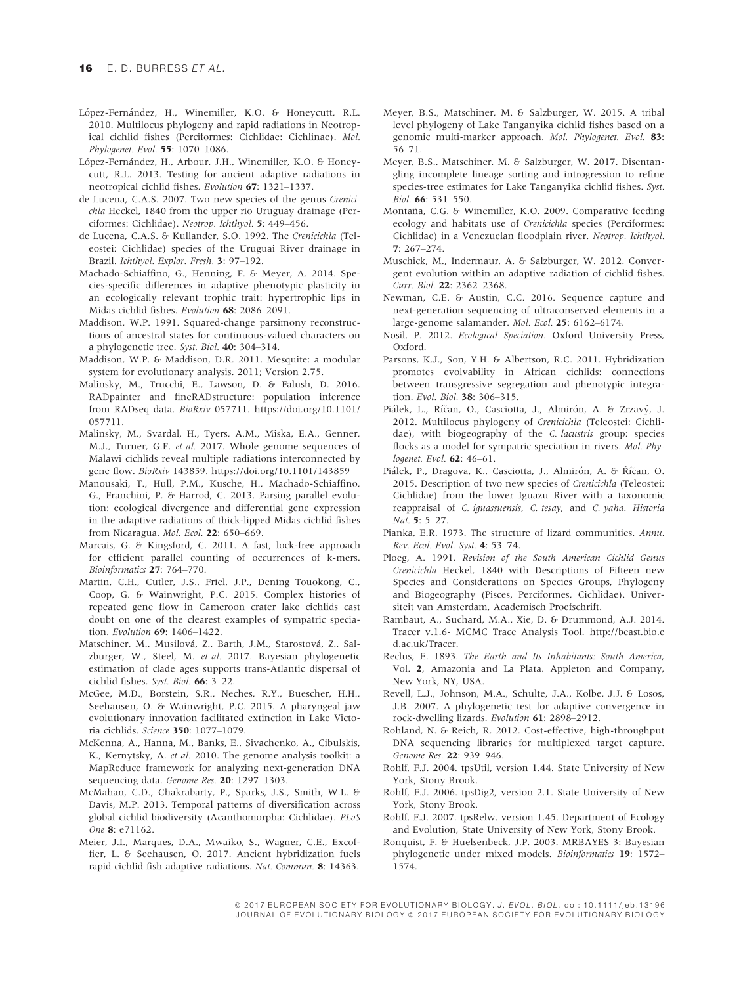- López-Fernández, H., Winemiller, K.O. & Honeycutt, R.L. 2010. Multilocus phylogeny and rapid radiations in Neotropical cichlid fishes (Perciformes: Cichlidae: Cichlinae). Mol. Phylogenet. Evol. 55: 1070–1086.
- López-Fernández, H., Arbour, J.H., Winemiller, K.O. & Honeycutt, R.L. 2013. Testing for ancient adaptive radiations in neotropical cichlid fishes. Evolution 67: 1321–1337.
- de Lucena, C.A.S. 2007. Two new species of the genus Crenicichla Heckel, 1840 from the upper rio Uruguay drainage (Perciformes: Cichlidae). Neotrop. Ichthyol. 5: 449–456.
- de Lucena, C.A.S. & Kullander, S.O. 1992. The Crenicichla (Teleostei: Cichlidae) species of the Uruguai River drainage in Brazil. Ichthyol. Explor. Fresh. 3: 97–192.
- Machado-Schiaffino, G., Henning, F. & Meyer, A. 2014. Species-specific differences in adaptive phenotypic plasticity in an ecologically relevant trophic trait: hypertrophic lips in Midas cichlid fishes. Evolution 68: 2086–2091.
- Maddison, W.P. 1991. Squared-change parsimony reconstructions of ancestral states for continuous-valued characters on a phylogenetic tree. Syst. Biol. 40: 304–314.
- Maddison, W.P. & Maddison, D.R. 2011. Mesquite: a modular system for evolutionary analysis. 2011; Version 2.75.
- Malinsky, M., Trucchi, E., Lawson, D. & Falush, D. 2016. RADpainter and fineRADstructure: population inference from RADseq data. BioRxiv 057711. [https://doi.org/10.1101/](https://doi.org/10.1101/057711) [057711.](https://doi.org/10.1101/057711)
- Malinsky, M., Svardal, H., Tyers, A.M., Miska, E.A., Genner, M.J., Turner, G.F. et al. 2017. Whole genome sequences of Malawi cichlids reveal multiple radiations interconnected by gene flow. BioRxiv 143859.<https://doi.org/10.1101/143859>
- Manousaki, T., Hull, P.M., Kusche, H., Machado-Schiaffino, G., Franchini, P. & Harrod, C. 2013. Parsing parallel evolution: ecological divergence and differential gene expression in the adaptive radiations of thick-lipped Midas cichlid fishes from Nicaragua. Mol. Ecol. 22: 650-669.
- Marcais, G. & Kingsford, C. 2011. A fast, lock-free approach for efficient parallel counting of occurrences of k-mers. Bioinformatics 27: 764–770.
- Martin, C.H., Cutler, J.S., Friel, J.P., Dening Touokong, C., Coop, G. & Wainwright, P.C. 2015. Complex histories of repeated gene flow in Cameroon crater lake cichlids cast doubt on one of the clearest examples of sympatric speciation. Evolution 69: 1406–1422.
- Matschiner, M., Musilová, Z., Barth, J.M., Starostová, Z., Salzburger, W., Steel, M. et al. 2017. Bayesian phylogenetic estimation of clade ages supports trans-Atlantic dispersal of cichlid fishes. Syst. Biol. 66: 3–22.
- McGee, M.D., Borstein, S.R., Neches, R.Y., Buescher, H.H., Seehausen, O. & Wainwright, P.C. 2015. A pharyngeal jaw evolutionary innovation facilitated extinction in Lake Victoria cichlids. Science 350: 1077–1079.
- McKenna, A., Hanna, M., Banks, E., Sivachenko, A., Cibulskis, K., Kernytsky, A. et al. 2010. The genome analysis toolkit: a MapReduce framework for analyzing next-generation DNA sequencing data. Genome Res. 20: 1297-1303.
- McMahan, C.D., Chakrabarty, P., Sparks, J.S., Smith, W.L. & Davis, M.P. 2013. Temporal patterns of diversification across global cichlid biodiversity (Acanthomorpha: Cichlidae). PLoS One 8: e71162.
- Meier, J.I., Marques, D.A., Mwaiko, S., Wagner, C.E., Excoffier, L. & Seehausen, O. 2017. Ancient hybridization fuels rapid cichlid fish adaptive radiations. Nat. Commun. 8: 14363.
- Meyer, B.S., Matschiner, M. & Salzburger, W. 2015. A tribal level phylogeny of Lake Tanganyika cichlid fishes based on a genomic multi-marker approach. Mol. Phylogenet. Evol. 83: 56–71.
- Meyer, B.S., Matschiner, M. & Salzburger, W. 2017. Disentangling incomplete lineage sorting and introgression to refine species-tree estimates for Lake Tanganyika cichlid fishes. Syst. Biol. 66: 531–550.
- Montaña, C.G. & Winemiller, K.O. 2009. Comparative feeding ecology and habitats use of Crenicichla species (Perciformes: Cichlidae) in a Venezuelan floodplain river. Neotrop. Ichthyol. 7: 267–274.
- Muschick, M., Indermaur, A. & Salzburger, W. 2012. Convergent evolution within an adaptive radiation of cichlid fishes. Curr. Biol. 22: 2362–2368.
- Newman, C.E. & Austin, C.C. 2016. Sequence capture and next-generation sequencing of ultraconserved elements in a large-genome salamander. Mol. Ecol. 25: 6162–6174.
- Nosil, P. 2012. Ecological Speciation. Oxford University Press, Oxford.
- Parsons, K.J., Son, Y.H. & Albertson, R.C. 2011. Hybridization promotes evolvability in African cichlids: connections between transgressive segregation and phenotypic integration. Evol. Biol. 38: 306-315.
- Piálek, L., Říčan, O., Casciotta, J., Almirón, A. & Zrzavý, J. 2012. Multilocus phylogeny of Crenicichla (Teleostei: Cichlidae), with biogeography of the C. lacustris group: species flocks as a model for sympatric speciation in rivers. Mol. Phylogenet. Evol. **62**: 46-61.
- Piálek, P., Dragova, K., Casciotta, J., Almirón, A. & Říčan, O. 2015. Description of two new species of Crenicichla (Teleostei: Cichlidae) from the lower Iguazu River with a taxonomic reappraisal of C. iguassuensis, C. tesay, and C. yaha. Historia Nat. 5: 5–27.
- Pianka, E.R. 1973. The structure of lizard communities. Annu. Rev. Ecol. Evol. Syst. 4: 53–74.
- Ploeg, A. 1991. Revision of the South American Cichlid Genus Crenicichla Heckel, 1840 with Descriptions of Fifteen new Species and Considerations on Species Groups, Phylogeny and Biogeography (Pisces, Perciformes, Cichlidae). Universiteit van Amsterdam, Academisch Proefschrift.
- Rambaut, A., Suchard, M.A., Xie, D. & Drummond, A.J. 2014. Tracer v.1.6- MCMC Trace Analysis Tool. [http://beast.bio.e](http://beast.bio.ed.ac.uk/Tracer) [d.ac.uk/Tracer.](http://beast.bio.ed.ac.uk/Tracer)
- Reclus, E. 1893. The Earth and Its Inhabitants: South America, Vol. 2, Amazonia and La Plata. Appleton and Company, New York, NY, USA.
- Revell, L.J., Johnson, M.A., Schulte, J.A., Kolbe, J.J. & Losos, J.B. 2007. A phylogenetic test for adaptive convergence in rock-dwelling lizards. Evolution 61: 2898–2912.
- Rohland, N. & Reich, R. 2012. Cost-effective, high-throughput DNA sequencing libraries for multiplexed target capture. Genome Res. 22: 939-946.
- Rohlf, F.J. 2004. tpsUtil, version 1.44. State University of New York, Stony Brook.
- Rohlf, F.J. 2006. tpsDig2, version 2.1. State University of New York, Stony Brook.
- Rohlf, F.J. 2007. tpsRelw, version 1.45. Department of Ecology and Evolution, State University of New York, Stony Brook.
- Ronquist, F. & Huelsenbeck, J.P. 2003. MRBAYES 3: Bayesian phylogenetic under mixed models. Bioinformatics 19: 1572– 1574.